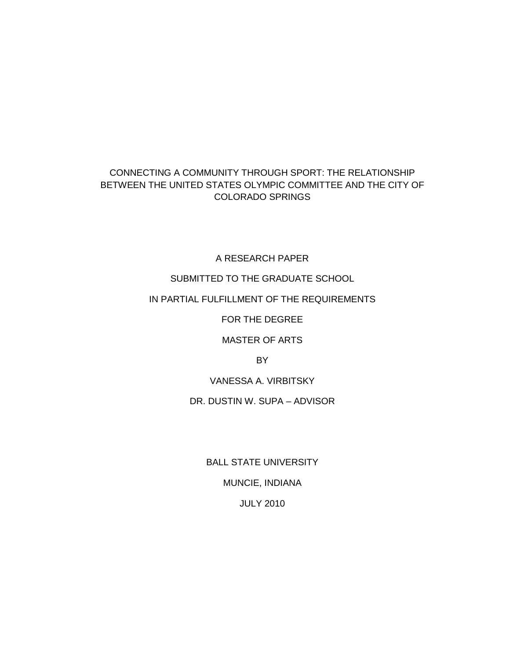# CONNECTING A COMMUNITY THROUGH SPORT: THE RELATIONSHIP BETWEEN THE UNITED STATES OLYMPIC COMMITTEE AND THE CITY OF COLORADO SPRINGS

A RESEARCH PAPER

SUBMITTED TO THE GRADUATE SCHOOL

# IN PARTIAL FULFILLMENT OF THE REQUIREMENTS

FOR THE DEGREE

MASTER OF ARTS

BY

VANESSA A. VIRBITSKY

DR. DUSTIN W. SUPA – ADVISOR

BALL STATE UNIVERSITY MUNCIE, INDIANA JULY 2010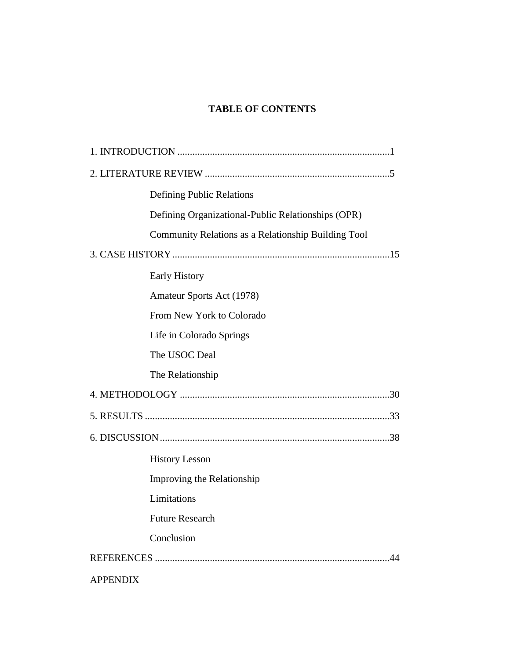# **TABLE OF CONTENTS**

|                 | <b>Defining Public Relations</b>                    |  |
|-----------------|-----------------------------------------------------|--|
|                 | Defining Organizational-Public Relationships (OPR)  |  |
|                 | Community Relations as a Relationship Building Tool |  |
|                 |                                                     |  |
|                 | <b>Early History</b>                                |  |
|                 | Amateur Sports Act (1978)                           |  |
|                 | From New York to Colorado                           |  |
|                 | Life in Colorado Springs                            |  |
|                 | The USOC Deal                                       |  |
|                 | The Relationship                                    |  |
|                 |                                                     |  |
|                 |                                                     |  |
|                 |                                                     |  |
|                 | <b>History Lesson</b>                               |  |
|                 | Improving the Relationship                          |  |
|                 | Limitations                                         |  |
|                 | <b>Future Research</b>                              |  |
|                 | Conclusion                                          |  |
| 44              |                                                     |  |
| <b>APPENDIX</b> |                                                     |  |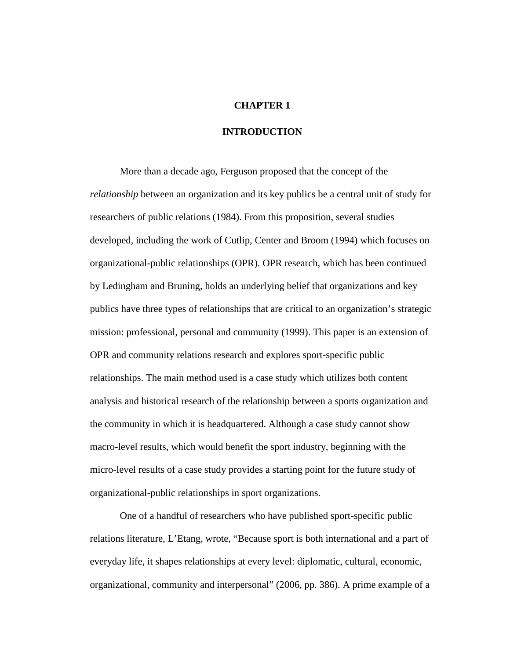### **CHAPTER 1**

### **INTRODUCTION**

More than a decade ago, Ferguson proposed that the concept of the *relationship* between an organization and its key publics be a central unit of study for researchers of public relations (1984). From this proposition, several studies developed, including the work of Cutlip, Center and Broom (1994) which focuses on organizational-public relationships (OPR). OPR research, which has been continued by Ledingham and Bruning, holds an underlying belief that organizations and key publics have three types of relationships that are critical to an organization's strategic mission: professional, personal and community (1999). This paper is an extension of OPR and community relations research and explores sport-specific public relationships. The main method used is a case study which utilizes both content analysis and historical research of the relationship between a sports organization and the community in which it is headquartered. Although a case study cannot show macro-level results, which would benefit the sport industry, beginning with the micro-level results of a case study provides a starting point for the future study of organizational-public relationships in sport organizations.

One of a handful of researchers who have published sport-specific public relations literature, L'Etang, wrote, "Because sport is both international and a part of everyday life, it shapes relationships at every level: diplomatic, cultural, economic, organizational, community and interpersonal" (2006, pp. 386). A prime example of a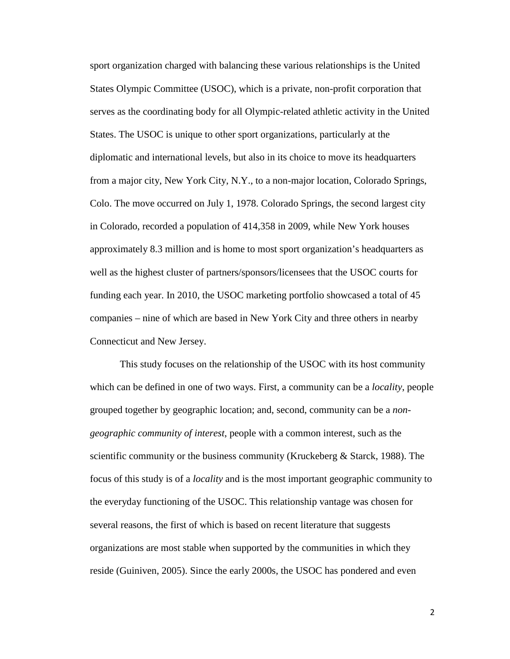sport organization charged with balancing these various relationships is the United States Olympic Committee (USOC), which is a private, non-profit corporation that serves as the coordinating body for all Olympic-related athletic activity in the United States. The USOC is unique to other sport organizations, particularly at the diplomatic and international levels, but also in its choice to move its headquarters from a major city, New York City, N.Y., to a non-major location, Colorado Springs, Colo. The move occurred on July 1, 1978. Colorado Springs, the second largest city in Colorado, recorded a population of 414,358 in 2009, while New York houses approximately 8.3 million and is home to most sport organization's headquarters as well as the highest cluster of partners/sponsors/licensees that the USOC courts for funding each year. In 2010, the USOC marketing portfolio showcased a total of 45 companies – nine of which are based in New York City and three others in nearby Connecticut and New Jersey.

This study focuses on the relationship of the USOC with its host community which can be defined in one of two ways. First, a community can be a *locality*, people grouped together by geographic location; and, second, community can be a *nongeographic community of interest*, people with a common interest, such as the scientific community or the business community (Kruckeberg & Starck, 1988). The focus of this study is of a *locality* and is the most important geographic community to the everyday functioning of the USOC. This relationship vantage was chosen for several reasons, the first of which is based on recent literature that suggests organizations are most stable when supported by the communities in which they reside (Guiniven, 2005). Since the early 2000s, the USOC has pondered and even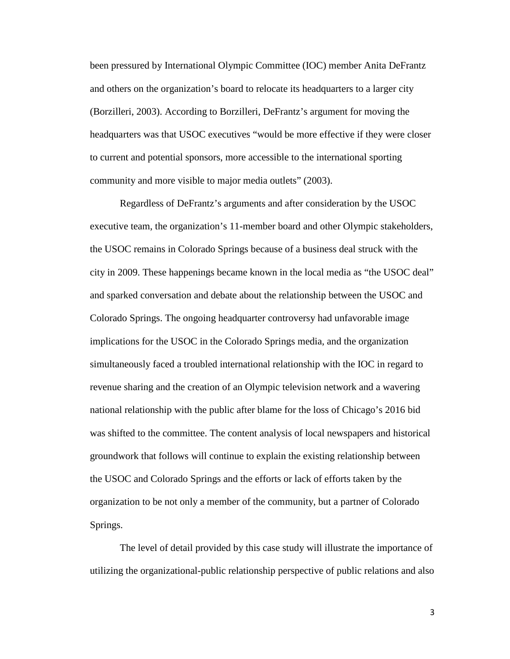been pressured by International Olympic Committee (IOC) member Anita DeFrantz and others on the organization's board to relocate its headquarters to a larger city (Borzilleri, 2003). According to Borzilleri, DeFrantz's argument for moving the headquarters was that USOC executives "would be more effective if they were closer to current and potential sponsors, more accessible to the international sporting community and more visible to major media outlets" (2003).

Regardless of DeFrantz's arguments and after consideration by the USOC executive team, the organization's 11-member board and other Olympic stakeholders, the USOC remains in Colorado Springs because of a business deal struck with the city in 2009. These happenings became known in the local media as "the USOC deal" and sparked conversation and debate about the relationship between the USOC and Colorado Springs. The ongoing headquarter controversy had unfavorable image implications for the USOC in the Colorado Springs media, and the organization simultaneously faced a troubled international relationship with the IOC in regard to revenue sharing and the creation of an Olympic television network and a wavering national relationship with the public after blame for the loss of Chicago's 2016 bid was shifted to the committee. The content analysis of local newspapers and historical groundwork that follows will continue to explain the existing relationship between the USOC and Colorado Springs and the efforts or lack of efforts taken by the organization to be not only a member of the community, but a partner of Colorado Springs.

The level of detail provided by this case study will illustrate the importance of utilizing the organizational-public relationship perspective of public relations and also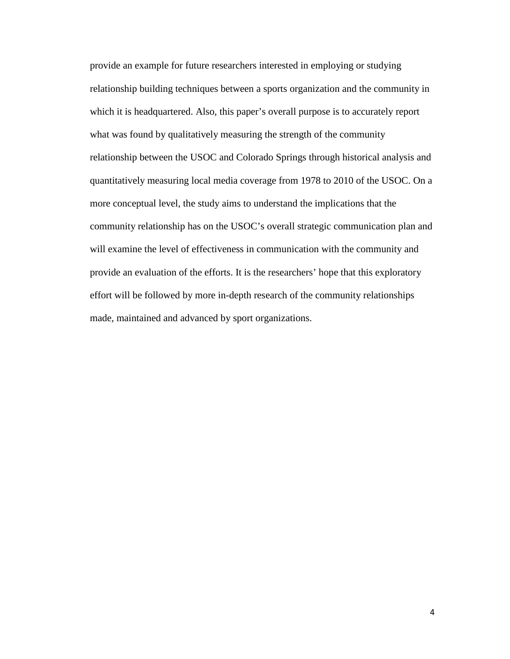provide an example for future researchers interested in employing or studying relationship building techniques between a sports organization and the community in which it is headquartered. Also, this paper's overall purpose is to accurately report what was found by qualitatively measuring the strength of the community relationship between the USOC and Colorado Springs through historical analysis and quantitatively measuring local media coverage from 1978 to 2010 of the USOC. On a more conceptual level, the study aims to understand the implications that the community relationship has on the USOC's overall strategic communication plan and will examine the level of effectiveness in communication with the community and provide an evaluation of the efforts. It is the researchers' hope that this exploratory effort will be followed by more in-depth research of the community relationships made, maintained and advanced by sport organizations.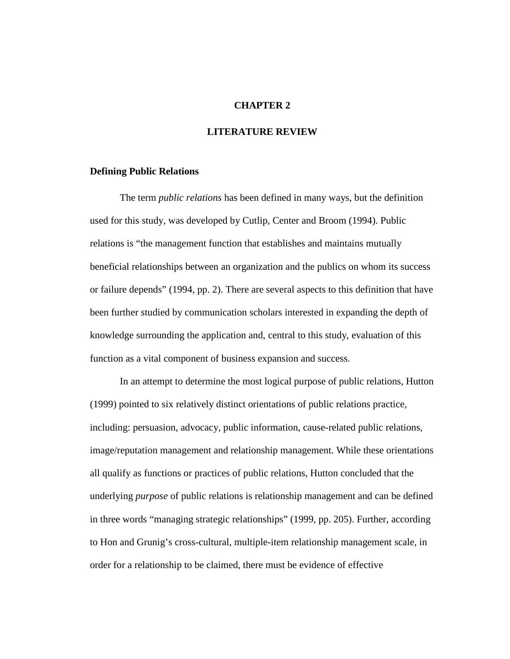### **CHAPTER 2**

### **LITERATURE REVIEW**

### **Defining Public Relations**

The term *public relations* has been defined in many ways, but the definition used for this study, was developed by Cutlip, Center and Broom (1994). Public relations is "the management function that establishes and maintains mutually beneficial relationships between an organization and the publics on whom its success or failure depends" (1994, pp. 2). There are several aspects to this definition that have been further studied by communication scholars interested in expanding the depth of knowledge surrounding the application and, central to this study, evaluation of this function as a vital component of business expansion and success.

In an attempt to determine the most logical purpose of public relations, Hutton (1999) pointed to six relatively distinct orientations of public relations practice, including: persuasion, advocacy, public information, cause-related public relations, image/reputation management and relationship management. While these orientations all qualify as functions or practices of public relations, Hutton concluded that the underlying *purpose* of public relations is relationship management and can be defined in three words "managing strategic relationships" (1999, pp. 205). Further, according to Hon and Grunig's cross-cultural, multiple-item relationship management scale, in order for a relationship to be claimed, there must be evidence of effective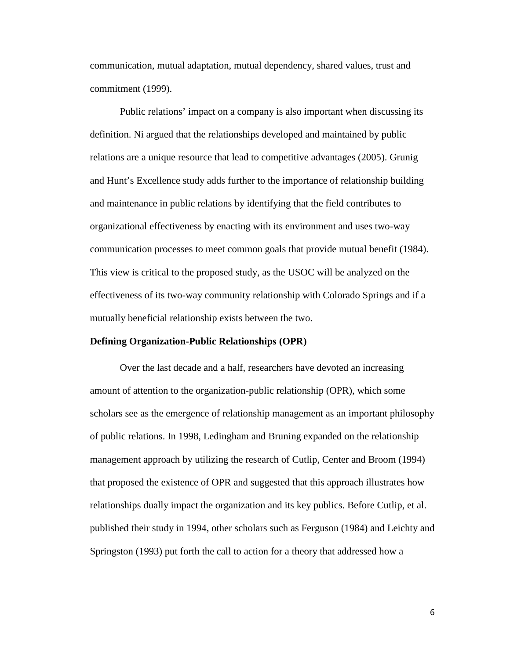communication, mutual adaptation, mutual dependency, shared values, trust and commitment (1999).

Public relations' impact on a company is also important when discussing its definition. Ni argued that the relationships developed and maintained by public relations are a unique resource that lead to competitive advantages (2005). Grunig and Hunt's Excellence study adds further to the importance of relationship building and maintenance in public relations by identifying that the field contributes to organizational effectiveness by enacting with its environment and uses two-way communication processes to meet common goals that provide mutual benefit (1984). This view is critical to the proposed study, as the USOC will be analyzed on the effectiveness of its two-way community relationship with Colorado Springs and if a mutually beneficial relationship exists between the two.

#### **Defining Organization-Public Relationships (OPR)**

Over the last decade and a half, researchers have devoted an increasing amount of attention to the organization-public relationship (OPR), which some scholars see as the emergence of relationship management as an important philosophy of public relations. In 1998, Ledingham and Bruning expanded on the relationship management approach by utilizing the research of Cutlip, Center and Broom (1994) that proposed the existence of OPR and suggested that this approach illustrates how relationships dually impact the organization and its key publics. Before Cutlip, et al. published their study in 1994, other scholars such as Ferguson (1984) and Leichty and Springston (1993) put forth the call to action for a theory that addressed how a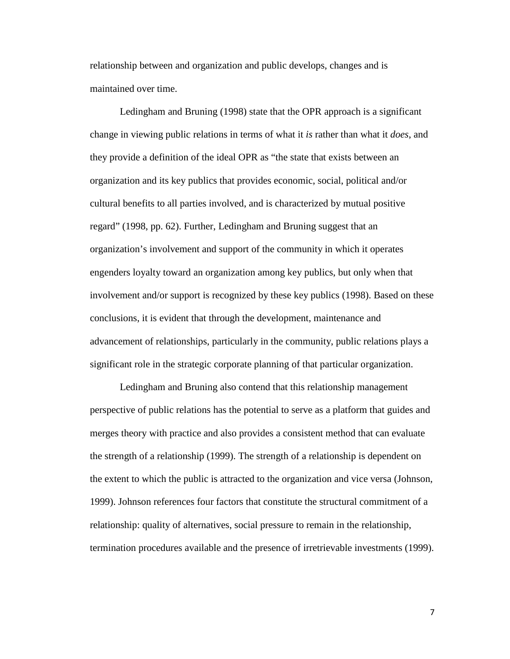relationship between and organization and public develops, changes and is maintained over time.

Ledingham and Bruning (1998) state that the OPR approach is a significant change in viewing public relations in terms of what it *is* rather than what it *does*, and they provide a definition of the ideal OPR as "the state that exists between an organization and its key publics that provides economic, social, political and/or cultural benefits to all parties involved, and is characterized by mutual positive regard" (1998, pp. 62). Further, Ledingham and Bruning suggest that an organization's involvement and support of the community in which it operates engenders loyalty toward an organization among key publics, but only when that involvement and/or support is recognized by these key publics (1998). Based on these conclusions, it is evident that through the development, maintenance and advancement of relationships, particularly in the community, public relations plays a significant role in the strategic corporate planning of that particular organization.

Ledingham and Bruning also contend that this relationship management perspective of public relations has the potential to serve as a platform that guides and merges theory with practice and also provides a consistent method that can evaluate the strength of a relationship (1999). The strength of a relationship is dependent on the extent to which the public is attracted to the organization and vice versa (Johnson, 1999). Johnson references four factors that constitute the structural commitment of a relationship: quality of alternatives, social pressure to remain in the relationship, termination procedures available and the presence of irretrievable investments (1999).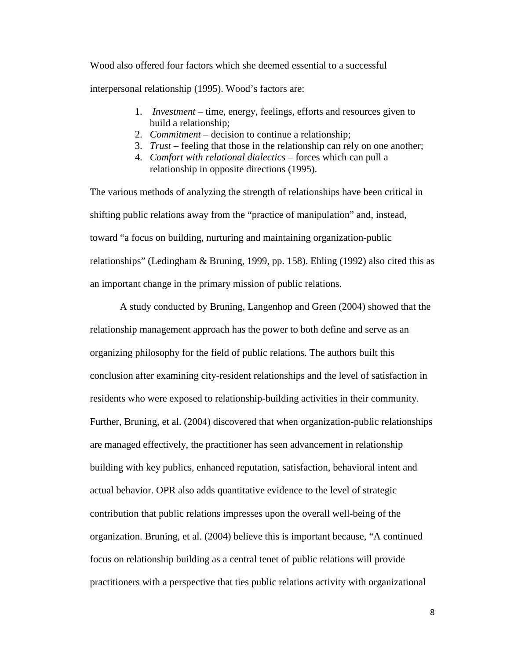Wood also offered four factors which she deemed essential to a successful

interpersonal relationship (1995). Wood's factors are:

- 1. *Investment* time, energy, feelings, efforts and resources given to build a relationship;
- 2. *Commitment* decision to continue a relationship;
- 3. *Trust* feeling that those in the relationship can rely on one another;
- 4. *Comfort with relational dialectics* forces which can pull a relationship in opposite directions (1995).

The various methods of analyzing the strength of relationships have been critical in shifting public relations away from the "practice of manipulation" and, instead, toward "a focus on building, nurturing and maintaining organization-public relationships" (Ledingham & Bruning, 1999, pp. 158). Ehling (1992) also cited this as an important change in the primary mission of public relations.

A study conducted by Bruning, Langenhop and Green (2004) showed that the relationship management approach has the power to both define and serve as an organizing philosophy for the field of public relations. The authors built this conclusion after examining city-resident relationships and the level of satisfaction in residents who were exposed to relationship-building activities in their community. Further, Bruning, et al. (2004) discovered that when organization-public relationships are managed effectively, the practitioner has seen advancement in relationship building with key publics, enhanced reputation, satisfaction, behavioral intent and actual behavior. OPR also adds quantitative evidence to the level of strategic contribution that public relations impresses upon the overall well-being of the organization. Bruning, et al. (2004) believe this is important because, "A continued focus on relationship building as a central tenet of public relations will provide practitioners with a perspective that ties public relations activity with organizational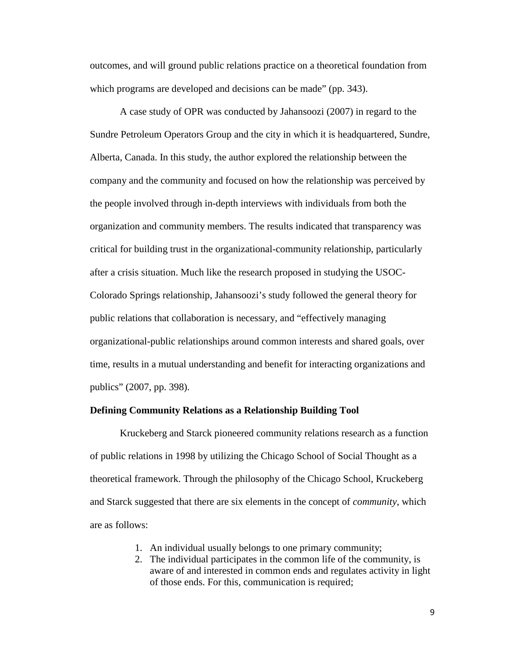outcomes, and will ground public relations practice on a theoretical foundation from which programs are developed and decisions can be made" (pp. 343).

A case study of OPR was conducted by Jahansoozi (2007) in regard to the Sundre Petroleum Operators Group and the city in which it is headquartered, Sundre, Alberta, Canada. In this study, the author explored the relationship between the company and the community and focused on how the relationship was perceived by the people involved through in-depth interviews with individuals from both the organization and community members. The results indicated that transparency was critical for building trust in the organizational-community relationship, particularly after a crisis situation. Much like the research proposed in studying the USOC-Colorado Springs relationship, Jahansoozi's study followed the general theory for public relations that collaboration is necessary, and "effectively managing organizational-public relationships around common interests and shared goals, over time, results in a mutual understanding and benefit for interacting organizations and publics" (2007, pp. 398).

### **Defining Community Relations as a Relationship Building Tool**

Kruckeberg and Starck pioneered community relations research as a function of public relations in 1998 by utilizing the Chicago School of Social Thought as a theoretical framework. Through the philosophy of the Chicago School, Kruckeberg and Starck suggested that there are six elements in the concept of *community*, which are as follows:

- 1. An individual usually belongs to one primary community;
- 2. The individual participates in the common life of the community, is aware of and interested in common ends and regulates activity in light of those ends. For this, communication is required;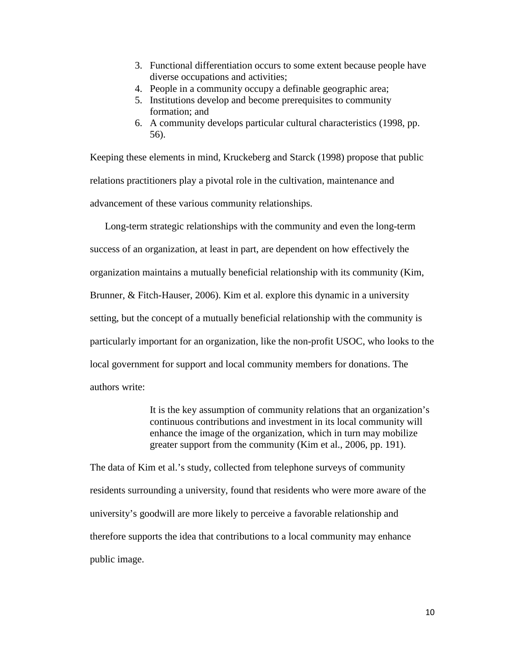- 3. Functional differentiation occurs to some extent because people have diverse occupations and activities;
- 4. People in a community occupy a definable geographic area;
- 5. Institutions develop and become prerequisites to community formation; and
- 6. A community develops particular cultural characteristics (1998, pp. 56).

Keeping these elements in mind, Kruckeberg and Starck (1998) propose that public relations practitioners play a pivotal role in the cultivation, maintenance and advancement of these various community relationships.

Long-term strategic relationships with the community and even the long-term success of an organization, at least in part, are dependent on how effectively the organization maintains a mutually beneficial relationship with its community (Kim, Brunner, & Fitch-Hauser, 2006). Kim et al. explore this dynamic in a university setting, but the concept of a mutually beneficial relationship with the community is particularly important for an organization, like the non-profit USOC, who looks to the local government for support and local community members for donations. The authors write:

> It is the key assumption of community relations that an organization's continuous contributions and investment in its local community will enhance the image of the organization, which in turn may mobilize greater support from the community (Kim et al., 2006, pp. 191).

The data of Kim et al.'s study, collected from telephone surveys of community residents surrounding a university, found that residents who were more aware of the university's goodwill are more likely to perceive a favorable relationship and therefore supports the idea that contributions to a local community may enhance public image.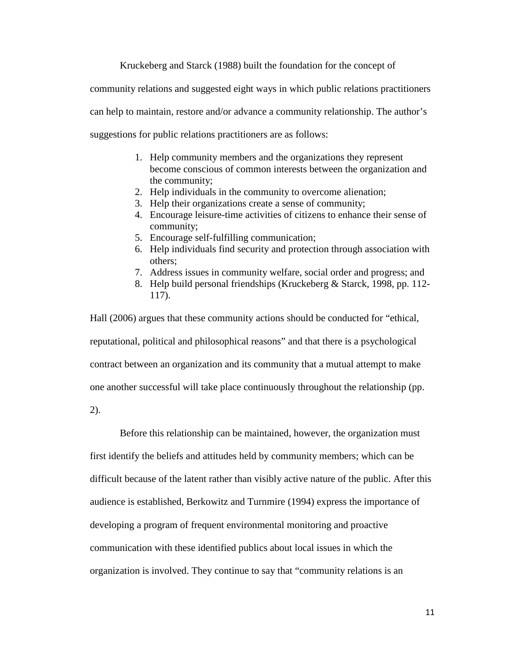Kruckeberg and Starck (1988) built the foundation for the concept of

community relations and suggested eight ways in which public relations practitioners

can help to maintain, restore and/or advance a community relationship. The author's

suggestions for public relations practitioners are as follows:

- 1. Help community members and the organizations they represent become conscious of common interests between the organization and the community;
- 2. Help individuals in the community to overcome alienation;
- 3. Help their organizations create a sense of community;
- 4. Encourage leisure-time activities of citizens to enhance their sense of community;
- 5. Encourage self-fulfilling communication;
- 6. Help individuals find security and protection through association with others;
- 7. Address issues in community welfare, social order and progress; and
- 8. Help build personal friendships (Kruckeberg & Starck, 1998, pp. 112- 117).

Hall (2006) argues that these community actions should be conducted for "ethical, reputational, political and philosophical reasons" and that there is a psychological contract between an organization and its community that a mutual attempt to make one another successful will take place continuously throughout the relationship (pp.

2).

Before this relationship can be maintained, however, the organization must first identify the beliefs and attitudes held by community members; which can be difficult because of the latent rather than visibly active nature of the public. After this audience is established, Berkowitz and Turnmire (1994) express the importance of developing a program of frequent environmental monitoring and proactive communication with these identified publics about local issues in which the organization is involved. They continue to say that "community relations is an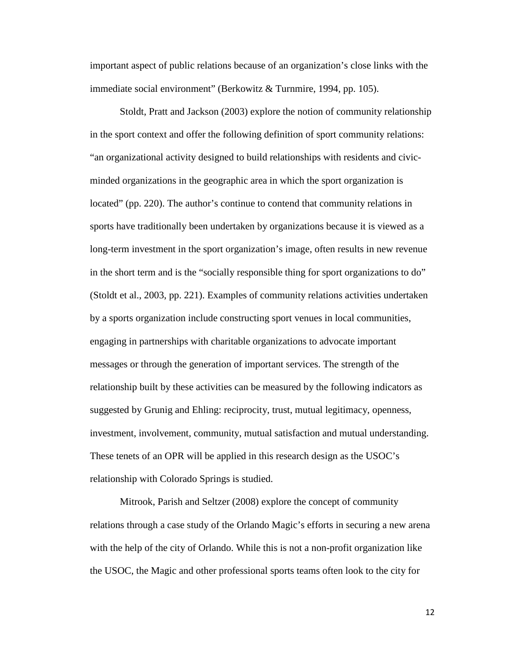important aspect of public relations because of an organization's close links with the immediate social environment" (Berkowitz & Turnmire, 1994, pp. 105).

Stoldt, Pratt and Jackson (2003) explore the notion of community relationship in the sport context and offer the following definition of sport community relations: "an organizational activity designed to build relationships with residents and civicminded organizations in the geographic area in which the sport organization is located" (pp. 220). The author's continue to contend that community relations in sports have traditionally been undertaken by organizations because it is viewed as a long-term investment in the sport organization's image, often results in new revenue in the short term and is the "socially responsible thing for sport organizations to do" (Stoldt et al., 2003, pp. 221). Examples of community relations activities undertaken by a sports organization include constructing sport venues in local communities, engaging in partnerships with charitable organizations to advocate important messages or through the generation of important services. The strength of the relationship built by these activities can be measured by the following indicators as suggested by Grunig and Ehling: reciprocity, trust, mutual legitimacy, openness, investment, involvement, community, mutual satisfaction and mutual understanding. These tenets of an OPR will be applied in this research design as the USOC's relationship with Colorado Springs is studied.

Mitrook, Parish and Seltzer (2008) explore the concept of community relations through a case study of the Orlando Magic's efforts in securing a new arena with the help of the city of Orlando. While this is not a non-profit organization like the USOC, the Magic and other professional sports teams often look to the city for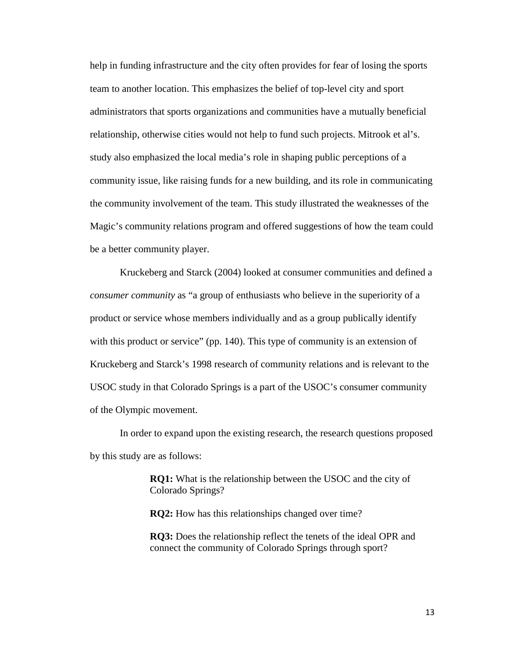help in funding infrastructure and the city often provides for fear of losing the sports team to another location. This emphasizes the belief of top-level city and sport administrators that sports organizations and communities have a mutually beneficial relationship, otherwise cities would not help to fund such projects. Mitrook et al's. study also emphasized the local media's role in shaping public perceptions of a community issue, like raising funds for a new building, and its role in communicating the community involvement of the team. This study illustrated the weaknesses of the Magic's community relations program and offered suggestions of how the team could be a better community player.

Kruckeberg and Starck (2004) looked at consumer communities and defined a *consumer community* as "a group of enthusiasts who believe in the superiority of a product or service whose members individually and as a group publically identify with this product or service" (pp. 140). This type of community is an extension of Kruckeberg and Starck's 1998 research of community relations and is relevant to the USOC study in that Colorado Springs is a part of the USOC's consumer community of the Olympic movement.

In order to expand upon the existing research, the research questions proposed by this study are as follows:

> **RQ1:** What is the relationship between the USOC and the city of Colorado Springs?

**RQ2:** How has this relationships changed over time?

**RQ3:** Does the relationship reflect the tenets of the ideal OPR and connect the community of Colorado Springs through sport?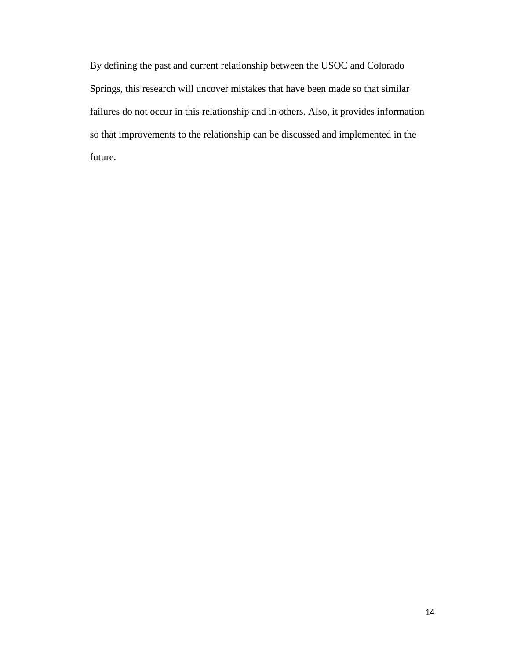By defining the past and current relationship between the USOC and Colorado Springs, this research will uncover mistakes that have been made so that similar failures do not occur in this relationship and in others. Also, it provides information so that improvements to the relationship can be discussed and implemented in the future.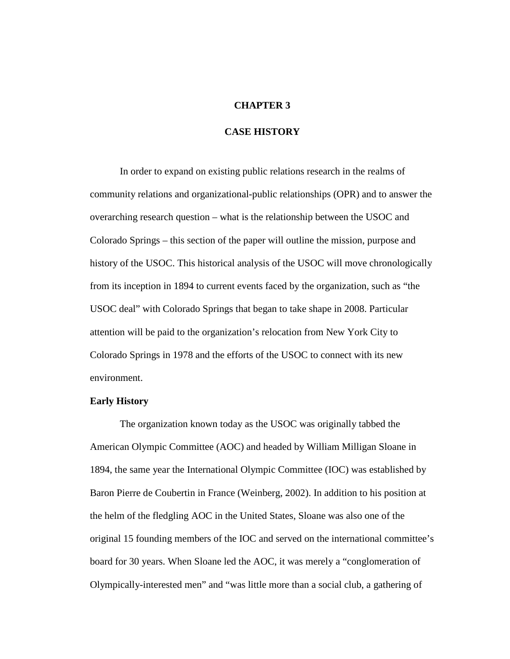#### **CHAPTER 3**

### **CASE HISTORY**

In order to expand on existing public relations research in the realms of community relations and organizational-public relationships (OPR) and to answer the overarching research question – what is the relationship between the USOC and Colorado Springs – this section of the paper will outline the mission, purpose and history of the USOC. This historical analysis of the USOC will move chronologically from its inception in 1894 to current events faced by the organization, such as "the USOC deal" with Colorado Springs that began to take shape in 2008. Particular attention will be paid to the organization's relocation from New York City to Colorado Springs in 1978 and the efforts of the USOC to connect with its new environment.

#### **Early History**

The organization known today as the USOC was originally tabbed the American Olympic Committee (AOC) and headed by William Milligan Sloane in 1894, the same year the International Olympic Committee (IOC) was established by Baron Pierre de Coubertin in France (Weinberg, 2002). In addition to his position at the helm of the fledgling AOC in the United States, Sloane was also one of the original 15 founding members of the IOC and served on the international committee's board for 30 years. When Sloane led the AOC, it was merely a "conglomeration of Olympically-interested men" and "was little more than a social club, a gathering of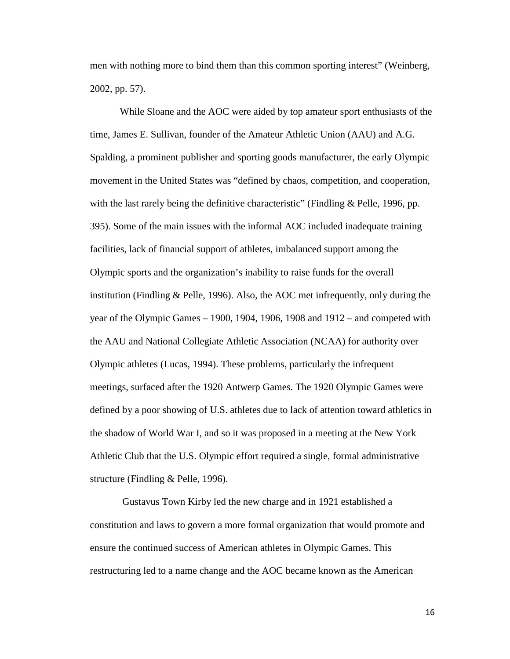men with nothing more to bind them than this common sporting interest" (Weinberg, 2002, pp. 57).

While Sloane and the AOC were aided by top amateur sport enthusiasts of the time, James E. Sullivan, founder of the Amateur Athletic Union (AAU) and A.G. Spalding, a prominent publisher and sporting goods manufacturer, the early Olympic movement in the United States was "defined by chaos, competition, and cooperation, with the last rarely being the definitive characteristic" (Findling & Pelle, 1996, pp. 395). Some of the main issues with the informal AOC included inadequate training facilities, lack of financial support of athletes, imbalanced support among the Olympic sports and the organization's inability to raise funds for the overall institution (Findling & Pelle, 1996). Also, the AOC met infrequently, only during the year of the Olympic Games – 1900, 1904, 1906, 1908 and 1912 – and competed with the AAU and National Collegiate Athletic Association (NCAA) for authority over Olympic athletes (Lucas, 1994). These problems, particularly the infrequent meetings, surfaced after the 1920 Antwerp Games. The 1920 Olympic Games were defined by a poor showing of U.S. athletes due to lack of attention toward athletics in the shadow of World War I, and so it was proposed in a meeting at the New York Athletic Club that the U.S. Olympic effort required a single, formal administrative structure (Findling & Pelle, 1996).

Gustavus Town Kirby led the new charge and in 1921 established a constitution and laws to govern a more formal organization that would promote and ensure the continued success of American athletes in Olympic Games. This restructuring led to a name change and the AOC became known as the American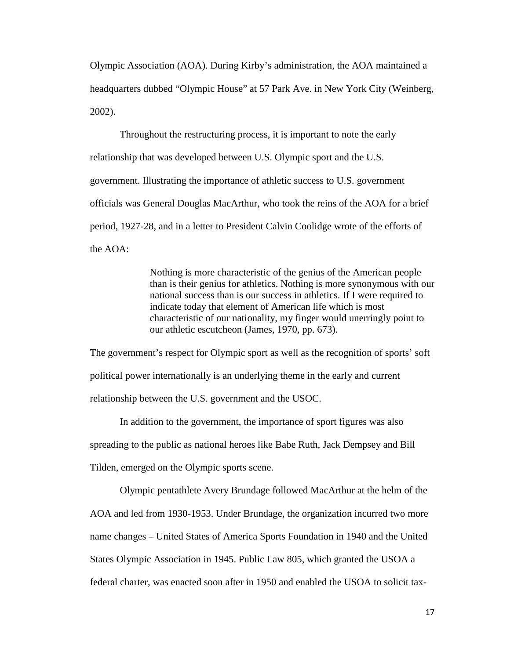Olympic Association (AOA). During Kirby's administration, the AOA maintained a headquarters dubbed "Olympic House" at 57 Park Ave. in New York City (Weinberg, 2002).

Throughout the restructuring process, it is important to note the early relationship that was developed between U.S. Olympic sport and the U.S. government. Illustrating the importance of athletic success to U.S. government officials was General Douglas MacArthur, who took the reins of the AOA for a brief period, 1927-28, and in a letter to President Calvin Coolidge wrote of the efforts of the AOA:

> Nothing is more characteristic of the genius of the American people than is their genius for athletics. Nothing is more synonymous with our national success than is our success in athletics. If I were required to indicate today that element of American life which is most characteristic of our nationality, my finger would unerringly point to our athletic escutcheon (James, 1970, pp. 673).

The government's respect for Olympic sport as well as the recognition of sports' soft political power internationally is an underlying theme in the early and current relationship between the U.S. government and the USOC.

In addition to the government, the importance of sport figures was also spreading to the public as national heroes like Babe Ruth, Jack Dempsey and Bill Tilden, emerged on the Olympic sports scene.

Olympic pentathlete Avery Brundage followed MacArthur at the helm of the AOA and led from 1930-1953. Under Brundage, the organization incurred two more name changes – United States of America Sports Foundation in 1940 and the United States Olympic Association in 1945. Public Law 805, which granted the USOA a federal charter, was enacted soon after in 1950 and enabled the USOA to solicit tax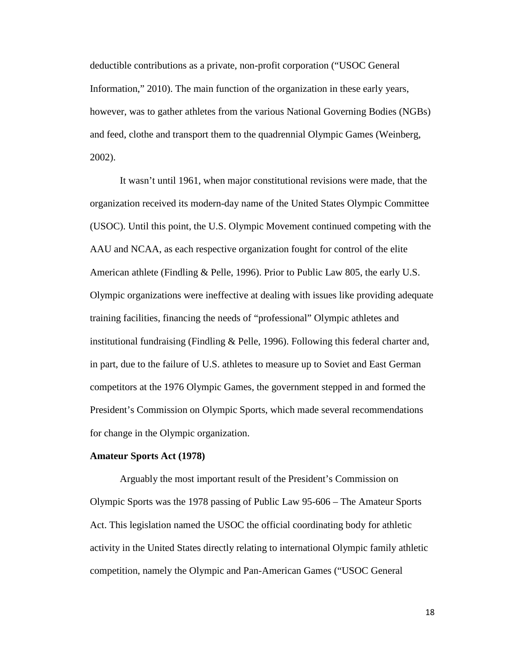deductible contributions as a private, non-profit corporation ("USOC General Information," 2010). The main function of the organization in these early years, however, was to gather athletes from the various National Governing Bodies (NGBs) and feed, clothe and transport them to the quadrennial Olympic Games (Weinberg, 2002).

It wasn't until 1961, when major constitutional revisions were made, that the organization received its modern-day name of the United States Olympic Committee (USOC). Until this point, the U.S. Olympic Movement continued competing with the AAU and NCAA, as each respective organization fought for control of the elite American athlete (Findling & Pelle, 1996). Prior to Public Law 805, the early U.S. Olympic organizations were ineffective at dealing with issues like providing adequate training facilities, financing the needs of "professional" Olympic athletes and institutional fundraising (Findling & Pelle, 1996). Following this federal charter and, in part, due to the failure of U.S. athletes to measure up to Soviet and East German competitors at the 1976 Olympic Games, the government stepped in and formed the President's Commission on Olympic Sports, which made several recommendations for change in the Olympic organization.

#### **Amateur Sports Act (1978)**

Arguably the most important result of the President's Commission on Olympic Sports was the 1978 passing of Public Law 95-606 – The Amateur Sports Act. This legislation named the USOC the official coordinating body for athletic activity in the United States directly relating to international Olympic family athletic competition, namely the Olympic and Pan-American Games ("USOC General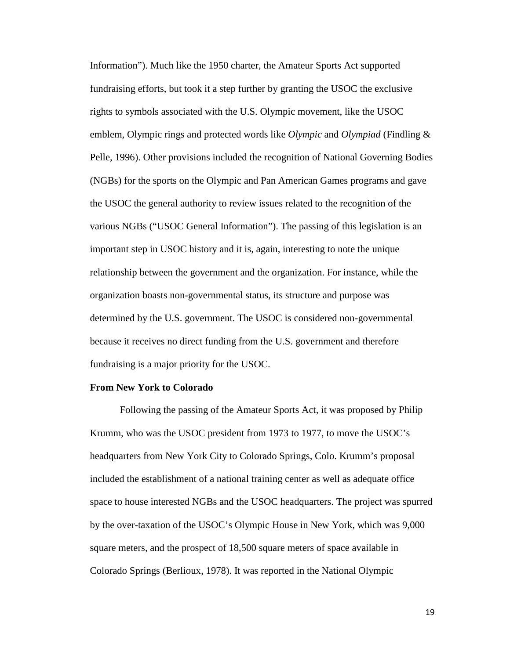Information"). Much like the 1950 charter, the Amateur Sports Act supported fundraising efforts, but took it a step further by granting the USOC the exclusive rights to symbols associated with the U.S. Olympic movement, like the USOC emblem, Olympic rings and protected words like *Olympic* and *Olympiad* (Findling & Pelle, 1996). Other provisions included the recognition of National Governing Bodies (NGBs) for the sports on the Olympic and Pan American Games programs and gave the USOC the general authority to review issues related to the recognition of the various NGBs ("USOC General Information"). The passing of this legislation is an important step in USOC history and it is, again, interesting to note the unique relationship between the government and the organization. For instance, while the organization boasts non-governmental status, its structure and purpose was determined by the U.S. government. The USOC is considered non-governmental because it receives no direct funding from the U.S. government and therefore fundraising is a major priority for the USOC.

#### **From New York to Colorado**

Following the passing of the Amateur Sports Act, it was proposed by Philip Krumm, who was the USOC president from 1973 to 1977, to move the USOC's headquarters from New York City to Colorado Springs, Colo. Krumm's proposal included the establishment of a national training center as well as adequate office space to house interested NGBs and the USOC headquarters. The project was spurred by the over-taxation of the USOC's Olympic House in New York, which was 9,000 square meters, and the prospect of 18,500 square meters of space available in Colorado Springs (Berlioux, 1978). It was reported in the National Olympic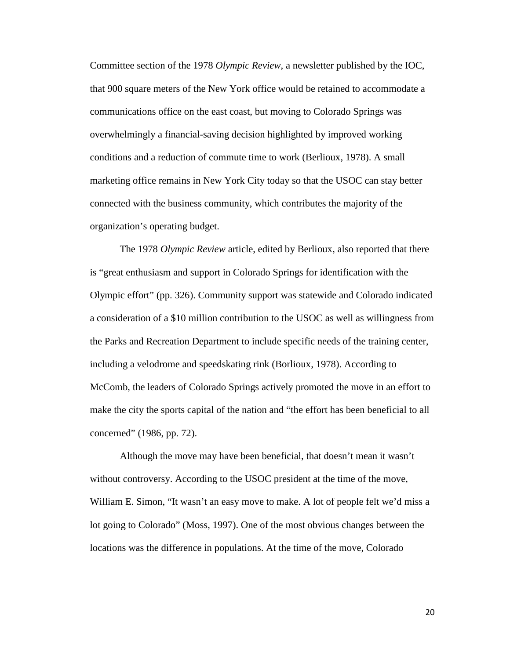Committee section of the 1978 *Olympic Review*, a newsletter published by the IOC, that 900 square meters of the New York office would be retained to accommodate a communications office on the east coast, but moving to Colorado Springs was overwhelmingly a financial-saving decision highlighted by improved working conditions and a reduction of commute time to work (Berlioux, 1978). A small marketing office remains in New York City today so that the USOC can stay better connected with the business community, which contributes the majority of the organization's operating budget.

The 1978 *Olympic Review* article, edited by Berlioux, also reported that there is "great enthusiasm and support in Colorado Springs for identification with the Olympic effort" (pp. 326). Community support was statewide and Colorado indicated a consideration of a \$10 million contribution to the USOC as well as willingness from the Parks and Recreation Department to include specific needs of the training center, including a velodrome and speedskating rink (Borlioux, 1978). According to McComb, the leaders of Colorado Springs actively promoted the move in an effort to make the city the sports capital of the nation and "the effort has been beneficial to all concerned" (1986, pp. 72).

Although the move may have been beneficial, that doesn't mean it wasn't without controversy. According to the USOC president at the time of the move, William E. Simon, "It wasn't an easy move to make. A lot of people felt we'd miss a lot going to Colorado" (Moss, 1997). One of the most obvious changes between the locations was the difference in populations. At the time of the move, Colorado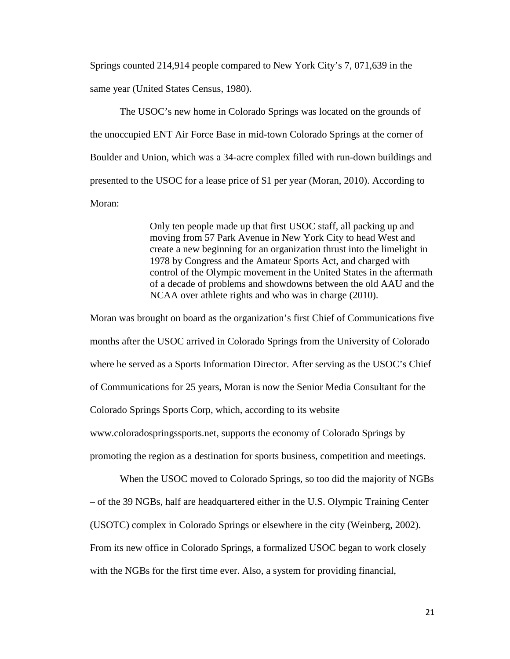Springs counted 214,914 people compared to New York City's 7, 071,639 in the same year (United States Census, 1980).

The USOC's new home in Colorado Springs was located on the grounds of the unoccupied ENT Air Force Base in mid-town Colorado Springs at the corner of Boulder and Union, which was a 34-acre complex filled with run-down buildings and presented to the USOC for a lease price of \$1 per year (Moran, 2010). According to Moran:

> Only ten people made up that first USOC staff, all packing up and moving from 57 Park Avenue in New York City to head West and create a new beginning for an organization thrust into the limelight in 1978 by Congress and the Amateur Sports Act, and charged with control of the Olympic movement in the United States in the aftermath of a decade of problems and showdowns between the old AAU and the NCAA over athlete rights and who was in charge (2010).

Moran was brought on board as the organization's first Chief of Communications five months after the USOC arrived in Colorado Springs from the University of Colorado where he served as a Sports Information Director. After serving as the USOC's Chief of Communications for 25 years, Moran is now the Senior Media Consultant for the Colorado Springs Sports Corp, which, according to its website www.coloradospringssports.net, supports the economy of Colorado Springs by promoting the region as a destination for sports business, competition and meetings.

When the USOC moved to Colorado Springs, so too did the majority of NGBs – of the 39 NGBs, half are headquartered either in the U.S. Olympic Training Center (USOTC) complex in Colorado Springs or elsewhere in the city (Weinberg, 2002). From its new office in Colorado Springs, a formalized USOC began to work closely with the NGBs for the first time ever. Also, a system for providing financial,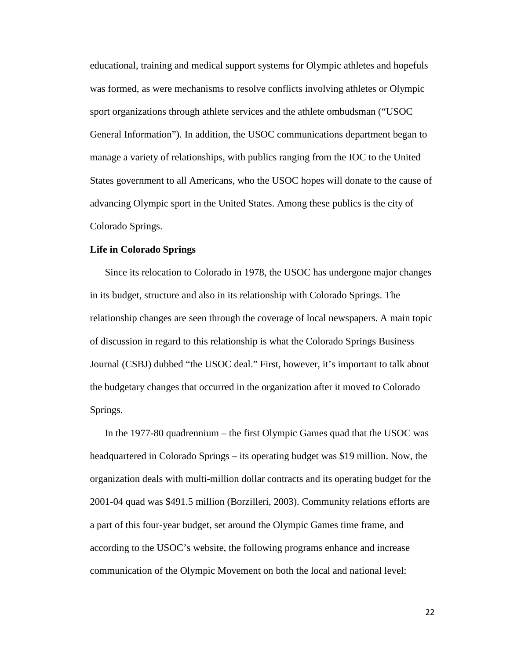educational, training and medical support systems for Olympic athletes and hopefuls was formed, as were mechanisms to resolve conflicts involving athletes or Olympic sport organizations through athlete services and the athlete ombudsman ("USOC General Information"). In addition, the USOC communications department began to manage a variety of relationships, with publics ranging from the IOC to the United States government to all Americans, who the USOC hopes will donate to the cause of advancing Olympic sport in the United States. Among these publics is the city of Colorado Springs.

#### **Life in Colorado Springs**

Since its relocation to Colorado in 1978, the USOC has undergone major changes in its budget, structure and also in its relationship with Colorado Springs. The relationship changes are seen through the coverage of local newspapers. A main topic of discussion in regard to this relationship is what the Colorado Springs Business Journal (CSBJ) dubbed "the USOC deal." First, however, it's important to talk about the budgetary changes that occurred in the organization after it moved to Colorado Springs.

In the 1977-80 quadrennium – the first Olympic Games quad that the USOC was headquartered in Colorado Springs – its operating budget was \$19 million. Now, the organization deals with multi-million dollar contracts and its operating budget for the 2001-04 quad was \$491.5 million (Borzilleri, 2003). Community relations efforts are a part of this four-year budget, set around the Olympic Games time frame, and according to the USOC's website, the following programs enhance and increase communication of the Olympic Movement on both the local and national level: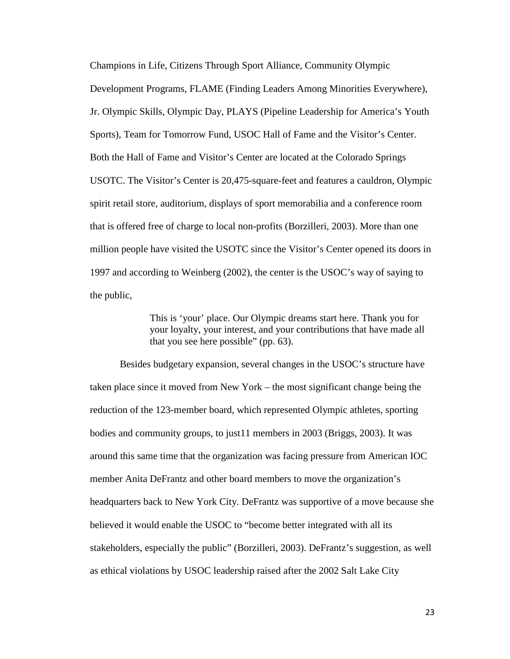Champions in Life, Citizens Through Sport Alliance, Community Olympic Development Programs, FLAME (Finding Leaders Among Minorities Everywhere), Jr. Olympic Skills, Olympic Day, PLAYS (Pipeline Leadership for America's Youth Sports), Team for Tomorrow Fund, USOC Hall of Fame and the Visitor's Center. Both the Hall of Fame and Visitor's Center are located at the Colorado Springs USOTC. The Visitor's Center is 20,475-square-feet and features a cauldron, Olympic spirit retail store, auditorium, displays of sport memorabilia and a conference room that is offered free of charge to local non-profits (Borzilleri, 2003). More than one million people have visited the USOTC since the Visitor's Center opened its doors in 1997 and according to Weinberg (2002), the center is the USOC's way of saying to the public,

> This is 'your' place. Our Olympic dreams start here. Thank you for your loyalty, your interest, and your contributions that have made all that you see here possible" (pp. 63).

Besides budgetary expansion, several changes in the USOC's structure have taken place since it moved from New York – the most significant change being the reduction of the 123-member board, which represented Olympic athletes, sporting bodies and community groups, to just11 members in 2003 (Briggs, 2003). It was around this same time that the organization was facing pressure from American IOC member Anita DeFrantz and other board members to move the organization's headquarters back to New York City. DeFrantz was supportive of a move because she believed it would enable the USOC to "become better integrated with all its stakeholders, especially the public" (Borzilleri, 2003). DeFrantz's suggestion, as well as ethical violations by USOC leadership raised after the 2002 Salt Lake City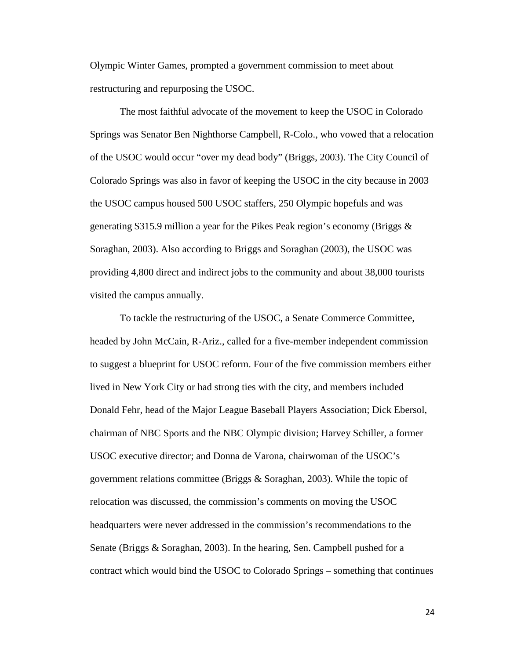Olympic Winter Games, prompted a government commission to meet about restructuring and repurposing the USOC.

The most faithful advocate of the movement to keep the USOC in Colorado Springs was Senator Ben Nighthorse Campbell, R-Colo., who vowed that a relocation of the USOC would occur "over my dead body" (Briggs, 2003). The City Council of Colorado Springs was also in favor of keeping the USOC in the city because in 2003 the USOC campus housed 500 USOC staffers, 250 Olympic hopefuls and was generating \$315.9 million a year for the Pikes Peak region's economy (Briggs & Soraghan, 2003). Also according to Briggs and Soraghan (2003), the USOC was providing 4,800 direct and indirect jobs to the community and about 38,000 tourists visited the campus annually.

To tackle the restructuring of the USOC, a Senate Commerce Committee, headed by John McCain, R-Ariz., called for a five-member independent commission to suggest a blueprint for USOC reform. Four of the five commission members either lived in New York City or had strong ties with the city, and members included Donald Fehr, head of the Major League Baseball Players Association; Dick Ebersol, chairman of NBC Sports and the NBC Olympic division; Harvey Schiller, a former USOC executive director; and Donna de Varona, chairwoman of the USOC's government relations committee (Briggs & Soraghan, 2003). While the topic of relocation was discussed, the commission's comments on moving the USOC headquarters were never addressed in the commission's recommendations to the Senate (Briggs & Soraghan, 2003). In the hearing, Sen. Campbell pushed for a contract which would bind the USOC to Colorado Springs – something that continues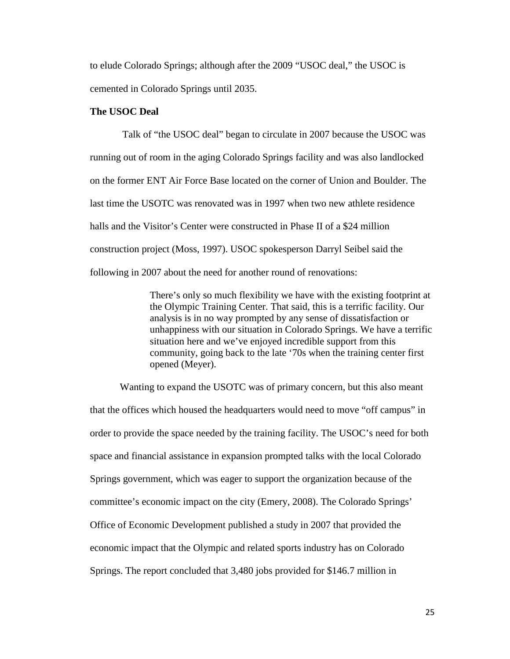to elude Colorado Springs; although after the 2009 "USOC deal," the USOC is cemented in Colorado Springs until 2035.

### **The USOC Deal**

Talk of "the USOC deal" began to circulate in 2007 because the USOC was running out of room in the aging Colorado Springs facility and was also landlocked on the former ENT Air Force Base located on the corner of Union and Boulder. The last time the USOTC was renovated was in 1997 when two new athlete residence halls and the Visitor's Center were constructed in Phase II of a \$24 million construction project (Moss, 1997). USOC spokesperson Darryl Seibel said the following in 2007 about the need for another round of renovations:

> There's only so much flexibility we have with the existing footprint at the Olympic Training Center. That said, this is a terrific facility. Our analysis is in no way prompted by any sense of dissatisfaction or unhappiness with our situation in Colorado Springs. We have a terrific situation here and we've enjoyed incredible support from this community, going back to the late '70s when the training center first opened (Meyer).

Wanting to expand the USOTC was of primary concern, but this also meant that the offices which housed the headquarters would need to move "off campus" in order to provide the space needed by the training facility. The USOC's need for both space and financial assistance in expansion prompted talks with the local Colorado Springs government, which was eager to support the organization because of the committee's economic impact on the city (Emery, 2008). The Colorado Springs' Office of Economic Development published a study in 2007 that provided the economic impact that the Olympic and related sports industry has on Colorado Springs. The report concluded that 3,480 jobs provided for \$146.7 million in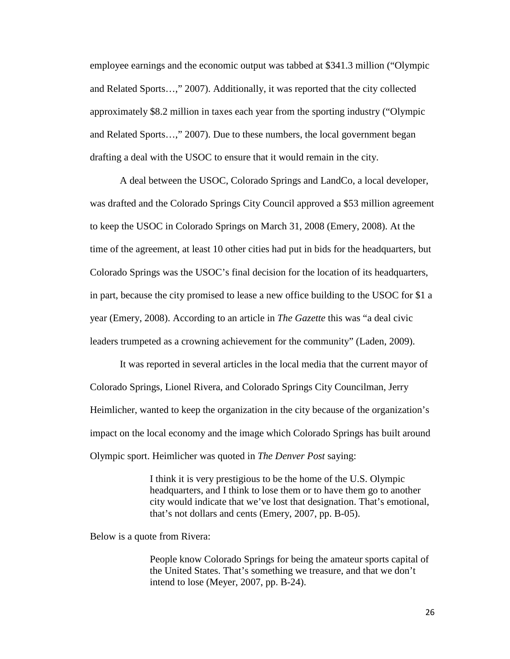employee earnings and the economic output was tabbed at \$341.3 million ("Olympic and Related Sports…," 2007). Additionally, it was reported that the city collected approximately \$8.2 million in taxes each year from the sporting industry ("Olympic and Related Sports…," 2007). Due to these numbers, the local government began drafting a deal with the USOC to ensure that it would remain in the city.

A deal between the USOC, Colorado Springs and LandCo, a local developer, was drafted and the Colorado Springs City Council approved a \$53 million agreement to keep the USOC in Colorado Springs on March 31, 2008 (Emery, 2008). At the time of the agreement, at least 10 other cities had put in bids for the headquarters, but Colorado Springs was the USOC's final decision for the location of its headquarters, in part, because the city promised to lease a new office building to the USOC for \$1 a year (Emery, 2008). According to an article in *The Gazette* this was "a deal civic leaders trumpeted as a crowning achievement for the community" (Laden, 2009).

It was reported in several articles in the local media that the current mayor of Colorado Springs, Lionel Rivera, and Colorado Springs City Councilman, Jerry Heimlicher, wanted to keep the organization in the city because of the organization's impact on the local economy and the image which Colorado Springs has built around Olympic sport. Heimlicher was quoted in *The Denver Post* saying:

> I think it is very prestigious to be the home of the U.S. Olympic headquarters, and I think to lose them or to have them go to another city would indicate that we've lost that designation. That's emotional, that's not dollars and cents (Emery, 2007, pp. B-05).

Below is a quote from Rivera:

People know Colorado Springs for being the amateur sports capital of the United States. That's something we treasure, and that we don't intend to lose (Meyer, 2007, pp. B-24).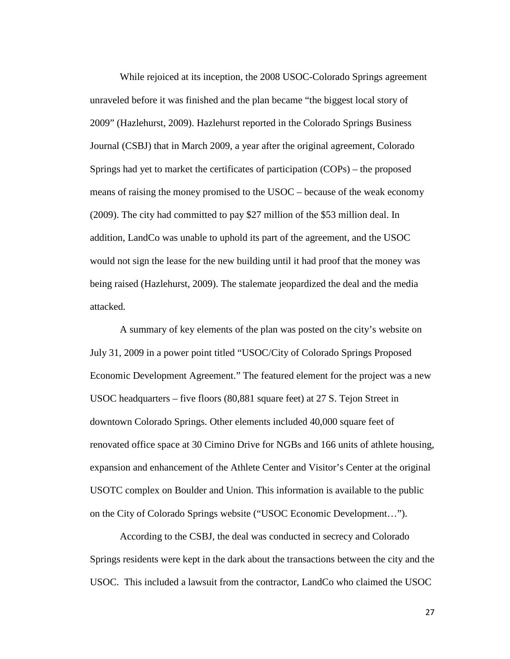While rejoiced at its inception, the 2008 USOC-Colorado Springs agreement unraveled before it was finished and the plan became "the biggest local story of 2009" (Hazlehurst, 2009). Hazlehurst reported in the Colorado Springs Business Journal (CSBJ) that in March 2009, a year after the original agreement, Colorado Springs had yet to market the certificates of participation (COPs) – the proposed means of raising the money promised to the USOC – because of the weak economy (2009). The city had committed to pay \$27 million of the \$53 million deal. In addition, LandCo was unable to uphold its part of the agreement, and the USOC would not sign the lease for the new building until it had proof that the money was being raised (Hazlehurst, 2009). The stalemate jeopardized the deal and the media attacked.

A summary of key elements of the plan was posted on the city's website on July 31, 2009 in a power point titled "USOC/City of Colorado Springs Proposed Economic Development Agreement." The featured element for the project was a new USOC headquarters – five floors (80,881 square feet) at 27 S. Tejon Street in downtown Colorado Springs. Other elements included 40,000 square feet of renovated office space at 30 Cimino Drive for NGBs and 166 units of athlete housing, expansion and enhancement of the Athlete Center and Visitor's Center at the original USOTC complex on Boulder and Union. This information is available to the public on the City of Colorado Springs website ("USOC Economic Development…").

According to the CSBJ, the deal was conducted in secrecy and Colorado Springs residents were kept in the dark about the transactions between the city and the USOC. This included a lawsuit from the contractor, LandCo who claimed the USOC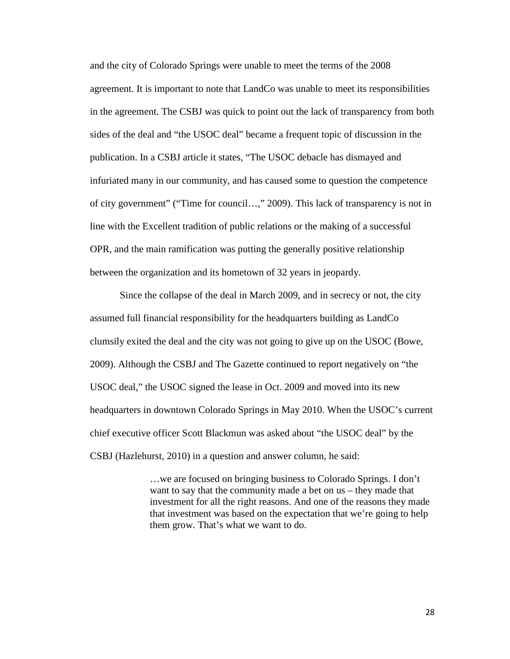and the city of Colorado Springs were unable to meet the terms of the 2008 agreement. It is important to note that LandCo was unable to meet its responsibilities in the agreement. The CSBJ was quick to point out the lack of transparency from both sides of the deal and "the USOC deal" became a frequent topic of discussion in the publication. In a CSBJ article it states, "The USOC debacle has dismayed and infuriated many in our community, and has caused some to question the competence of city government" ("Time for council…," 2009). This lack of transparency is not in line with the Excellent tradition of public relations or the making of a successful OPR, and the main ramification was putting the generally positive relationship between the organization and its hometown of 32 years in jeopardy.

Since the collapse of the deal in March 2009, and in secrecy or not, the city assumed full financial responsibility for the headquarters building as LandCo clumsily exited the deal and the city was not going to give up on the USOC (Bowe, 2009). Although the CSBJ and The Gazette continued to report negatively on "the USOC deal," the USOC signed the lease in Oct. 2009 and moved into its new headquarters in downtown Colorado Springs in May 2010. When the USOC's current chief executive officer Scott Blackmun was asked about "the USOC deal" by the CSBJ (Hazlehurst, 2010) in a question and answer column, he said:

> …we are focused on bringing business to Colorado Springs. I don't want to say that the community made a bet on us – they made that investment for all the right reasons. And one of the reasons they made that investment was based on the expectation that we're going to help them grow. That's what we want to do.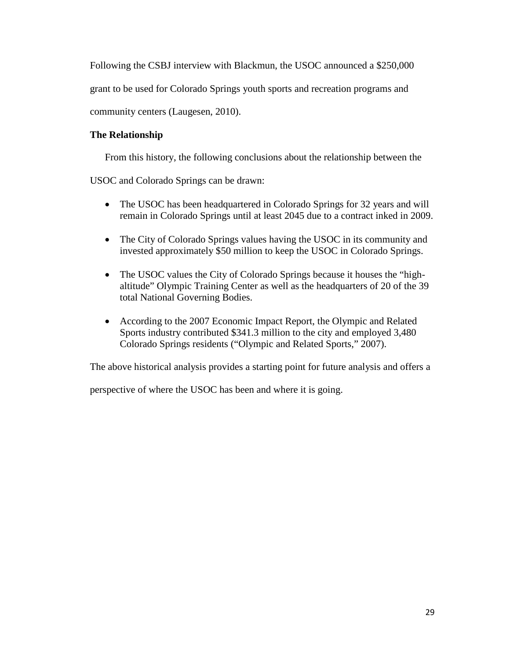Following the CSBJ interview with Blackmun, the USOC announced a \$250,000

grant to be used for Colorado Springs youth sports and recreation programs and

community centers (Laugesen, 2010).

## **The Relationship**

From this history, the following conclusions about the relationship between the

USOC and Colorado Springs can be drawn:

- The USOC has been headquartered in Colorado Springs for 32 years and will remain in Colorado Springs until at least 2045 due to a contract inked in 2009.
- The City of Colorado Springs values having the USOC in its community and invested approximately \$50 million to keep the USOC in Colorado Springs.
- The USOC values the City of Colorado Springs because it houses the "highaltitude" Olympic Training Center as well as the headquarters of 20 of the 39 total National Governing Bodies.
- According to the 2007 Economic Impact Report, the Olympic and Related Sports industry contributed \$341.3 million to the city and employed 3,480 Colorado Springs residents ("Olympic and Related Sports," 2007).

The above historical analysis provides a starting point for future analysis and offers a

perspective of where the USOC has been and where it is going.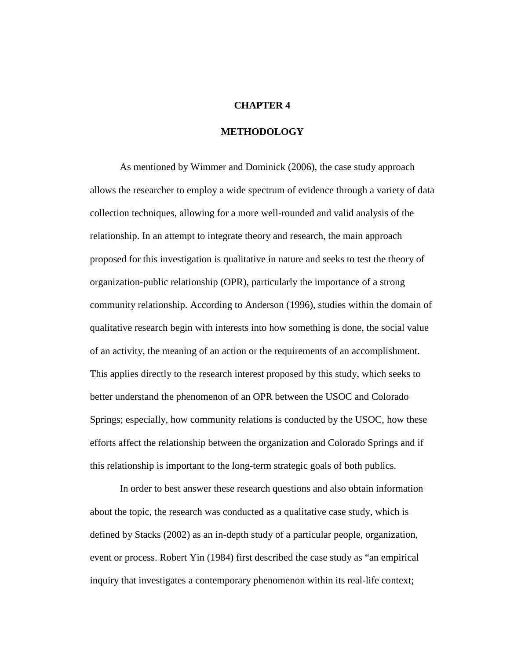#### **CHAPTER 4**

#### **METHODOLOGY**

As mentioned by Wimmer and Dominick (2006), the case study approach allows the researcher to employ a wide spectrum of evidence through a variety of data collection techniques, allowing for a more well-rounded and valid analysis of the relationship. In an attempt to integrate theory and research, the main approach proposed for this investigation is qualitative in nature and seeks to test the theory of organization-public relationship (OPR), particularly the importance of a strong community relationship. According to Anderson (1996), studies within the domain of qualitative research begin with interests into how something is done, the social value of an activity, the meaning of an action or the requirements of an accomplishment. This applies directly to the research interest proposed by this study, which seeks to better understand the phenomenon of an OPR between the USOC and Colorado Springs; especially, how community relations is conducted by the USOC, how these efforts affect the relationship between the organization and Colorado Springs and if this relationship is important to the long-term strategic goals of both publics.

In order to best answer these research questions and also obtain information about the topic, the research was conducted as a qualitative case study, which is defined by Stacks (2002) as an in-depth study of a particular people, organization, event or process. Robert Yin (1984) first described the case study as "an empirical inquiry that investigates a contemporary phenomenon within its real-life context;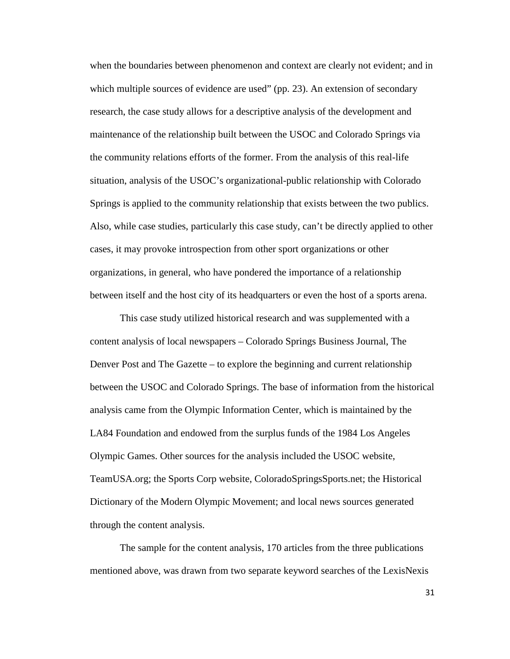when the boundaries between phenomenon and context are clearly not evident; and in which multiple sources of evidence are used" (pp. 23). An extension of secondary research, the case study allows for a descriptive analysis of the development and maintenance of the relationship built between the USOC and Colorado Springs via the community relations efforts of the former. From the analysis of this real-life situation, analysis of the USOC's organizational-public relationship with Colorado Springs is applied to the community relationship that exists between the two publics. Also, while case studies, particularly this case study, can't be directly applied to other cases, it may provoke introspection from other sport organizations or other organizations, in general, who have pondered the importance of a relationship between itself and the host city of its headquarters or even the host of a sports arena.

This case study utilized historical research and was supplemented with a content analysis of local newspapers – Colorado Springs Business Journal, The Denver Post and The Gazette – to explore the beginning and current relationship between the USOC and Colorado Springs. The base of information from the historical analysis came from the Olympic Information Center, which is maintained by the LA84 Foundation and endowed from the surplus funds of the 1984 Los Angeles Olympic Games. Other sources for the analysis included the USOC website, TeamUSA.org; the Sports Corp website, ColoradoSpringsSports.net; the Historical Dictionary of the Modern Olympic Movement; and local news sources generated through the content analysis.

The sample for the content analysis, 170 articles from the three publications mentioned above, was drawn from two separate keyword searches of the LexisNexis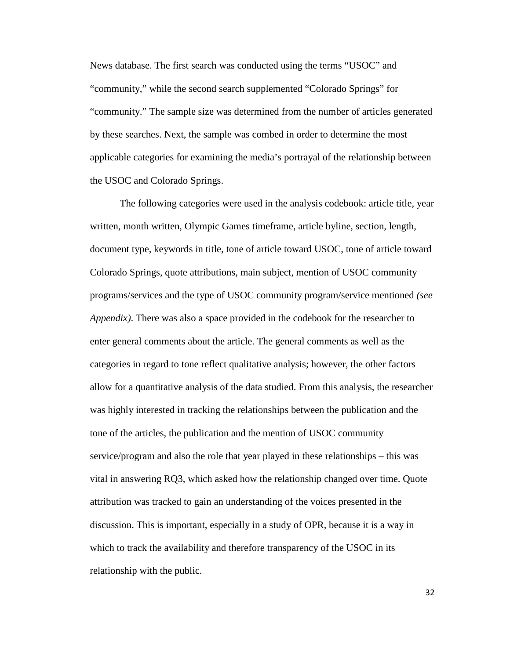News database. The first search was conducted using the terms "USOC" and "community," while the second search supplemented "Colorado Springs" for "community." The sample size was determined from the number of articles generated by these searches. Next, the sample was combed in order to determine the most applicable categories for examining the media's portrayal of the relationship between the USOC and Colorado Springs.

The following categories were used in the analysis codebook: article title, year written, month written, Olympic Games timeframe, article byline, section, length, document type, keywords in title, tone of article toward USOC, tone of article toward Colorado Springs, quote attributions, main subject, mention of USOC community programs/services and the type of USOC community program/service mentioned *(see Appendix)*. There was also a space provided in the codebook for the researcher to enter general comments about the article. The general comments as well as the categories in regard to tone reflect qualitative analysis; however, the other factors allow for a quantitative analysis of the data studied. From this analysis, the researcher was highly interested in tracking the relationships between the publication and the tone of the articles, the publication and the mention of USOC community service/program and also the role that year played in these relationships – this was vital in answering RQ3, which asked how the relationship changed over time. Quote attribution was tracked to gain an understanding of the voices presented in the discussion. This is important, especially in a study of OPR, because it is a way in which to track the availability and therefore transparency of the USOC in its relationship with the public.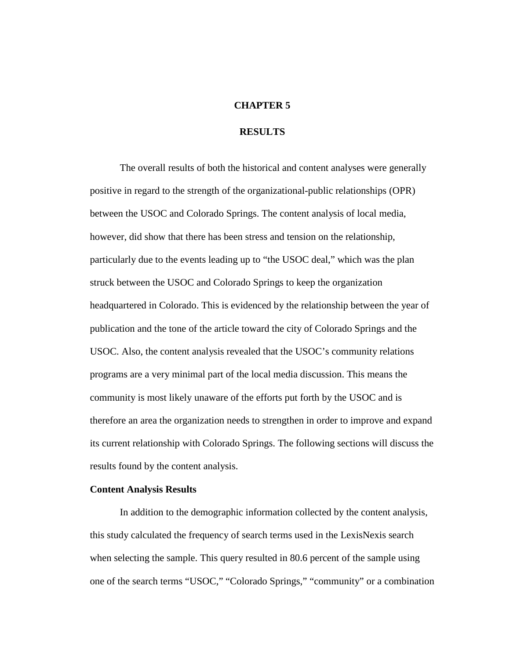### **CHAPTER 5**

### **RESULTS**

The overall results of both the historical and content analyses were generally positive in regard to the strength of the organizational-public relationships (OPR) between the USOC and Colorado Springs. The content analysis of local media, however, did show that there has been stress and tension on the relationship, particularly due to the events leading up to "the USOC deal," which was the plan struck between the USOC and Colorado Springs to keep the organization headquartered in Colorado. This is evidenced by the relationship between the year of publication and the tone of the article toward the city of Colorado Springs and the USOC. Also, the content analysis revealed that the USOC's community relations programs are a very minimal part of the local media discussion. This means the community is most likely unaware of the efforts put forth by the USOC and is therefore an area the organization needs to strengthen in order to improve and expand its current relationship with Colorado Springs. The following sections will discuss the results found by the content analysis.

### **Content Analysis Results**

In addition to the demographic information collected by the content analysis, this study calculated the frequency of search terms used in the LexisNexis search when selecting the sample. This query resulted in 80.6 percent of the sample using one of the search terms "USOC," "Colorado Springs," "community" or a combination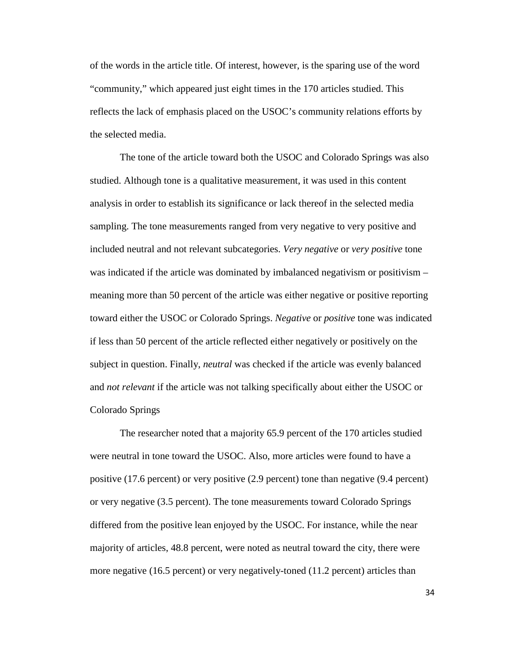of the words in the article title. Of interest, however, is the sparing use of the word "community," which appeared just eight times in the 170 articles studied. This reflects the lack of emphasis placed on the USOC's community relations efforts by the selected media.

The tone of the article toward both the USOC and Colorado Springs was also studied. Although tone is a qualitative measurement, it was used in this content analysis in order to establish its significance or lack thereof in the selected media sampling. The tone measurements ranged from very negative to very positive and included neutral and not relevant subcategories. *Very negative* or *very positive* tone was indicated if the article was dominated by imbalanced negativism or positivism – meaning more than 50 percent of the article was either negative or positive reporting toward either the USOC or Colorado Springs. *Negative* or *positive* tone was indicated if less than 50 percent of the article reflected either negatively or positively on the subject in question. Finally, *neutral* was checked if the article was evenly balanced and *not relevant* if the article was not talking specifically about either the USOC or Colorado Springs

The researcher noted that a majority 65.9 percent of the 170 articles studied were neutral in tone toward the USOC. Also, more articles were found to have a positive (17.6 percent) or very positive (2.9 percent) tone than negative (9.4 percent) or very negative (3.5 percent). The tone measurements toward Colorado Springs differed from the positive lean enjoyed by the USOC. For instance, while the near majority of articles, 48.8 percent, were noted as neutral toward the city, there were more negative (16.5 percent) or very negatively-toned (11.2 percent) articles than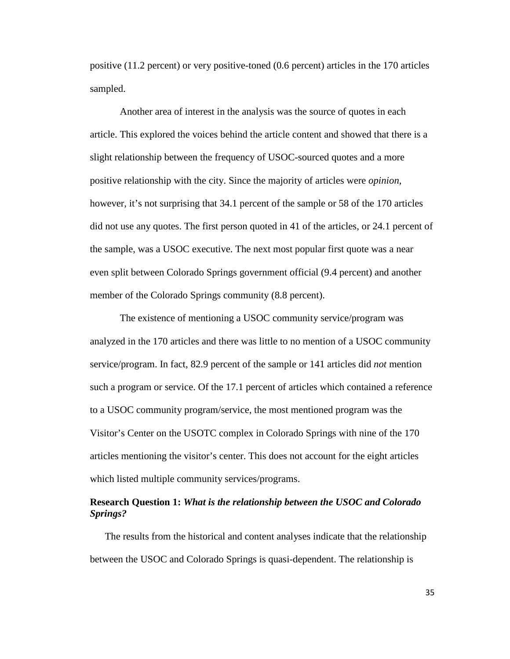positive (11.2 percent) or very positive-toned (0.6 percent) articles in the 170 articles sampled.

Another area of interest in the analysis was the source of quotes in each article. This explored the voices behind the article content and showed that there is a slight relationship between the frequency of USOC-sourced quotes and a more positive relationship with the city. Since the majority of articles were *opinion*, however, it's not surprising that 34.1 percent of the sample or 58 of the 170 articles did not use any quotes. The first person quoted in 41 of the articles, or 24.1 percent of the sample, was a USOC executive. The next most popular first quote was a near even split between Colorado Springs government official (9.4 percent) and another member of the Colorado Springs community (8.8 percent).

The existence of mentioning a USOC community service/program was analyzed in the 170 articles and there was little to no mention of a USOC community service/program. In fact, 82.9 percent of the sample or 141 articles did *not* mention such a program or service. Of the 17.1 percent of articles which contained a reference to a USOC community program/service, the most mentioned program was the Visitor's Center on the USOTC complex in Colorado Springs with nine of the 170 articles mentioning the visitor's center. This does not account for the eight articles which listed multiple community services/programs.

## **Research Question 1:** *What is the relationship between the USOC and Colorado Springs?*

The results from the historical and content analyses indicate that the relationship between the USOC and Colorado Springs is quasi-dependent. The relationship is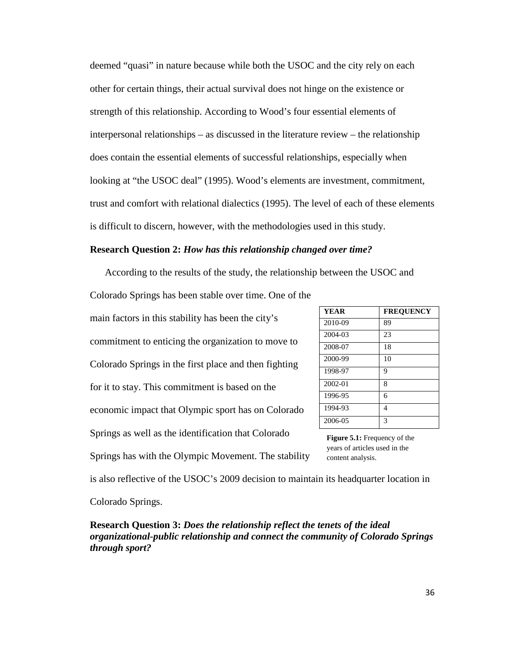deemed "quasi" in nature because while both the USOC and the city rely on each other for certain things, their actual survival does not hinge on the existence or strength of this relationship. According to Wood's four essential elements of interpersonal relationships – as discussed in the literature review – the relationship does contain the essential elements of successful relationships, especially when looking at "the USOC deal" (1995). Wood's elements are investment, commitment, trust and comfort with relational dialectics (1995). The level of each of these elements is difficult to discern, however, with the methodologies used in this study.

#### **Research Question 2:** *How has this relationship changed over time?*

According to the results of the study, the relationship between the USOC and Colorado Springs has been stable over time. One of the

main factors in this stability has been the city's commitment to enticing the organization to move to Colorado Springs in the first place and then fighting for it to stay. This commitment is based on the economic impact that Olympic sport has on Colorado Springs as well as the identification that Colorado Springs has with the Olympic Movement. The stability

| <b>YEAR</b> | <b>FREQUENCY</b> |
|-------------|------------------|
| 2010-09     | 89               |
| 2004-03     | 23               |
| 2008-07     | 18               |
| 2000-99     | 10               |
| 1998-97     | 9                |
| 2002-01     | 8                |
| 1996-95     | 6                |
| 1994-93     | 4                |
| 2006-05     | 3                |

**Figure 5.1:** Frequency of the years of articles used in the content analysis.

is also reflective of the USOC's 2009 decision to maintain its headquarter location in Colorado Springs.

**Research Question 3:** *Does the relationship reflect the tenets of the ideal organizational-public relationship and connect the community of Colorado Springs through sport?*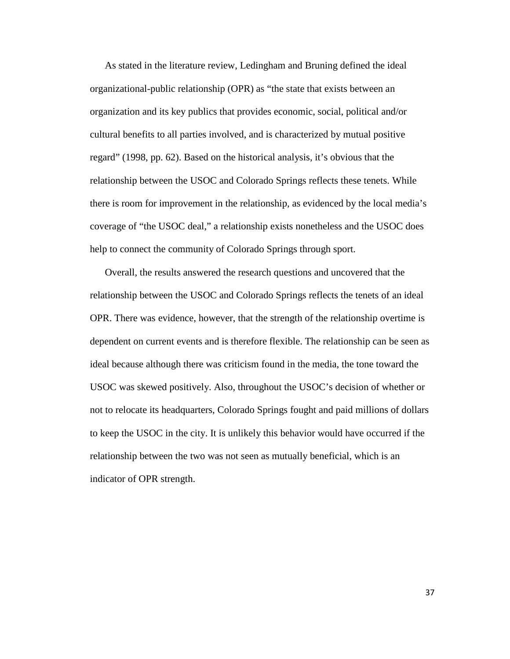As stated in the literature review, Ledingham and Bruning defined the ideal organizational-public relationship (OPR) as "the state that exists between an organization and its key publics that provides economic, social, political and/or cultural benefits to all parties involved, and is characterized by mutual positive regard" (1998, pp. 62). Based on the historical analysis, it's obvious that the relationship between the USOC and Colorado Springs reflects these tenets. While there is room for improvement in the relationship, as evidenced by the local media's coverage of "the USOC deal," a relationship exists nonetheless and the USOC does help to connect the community of Colorado Springs through sport.

Overall, the results answered the research questions and uncovered that the relationship between the USOC and Colorado Springs reflects the tenets of an ideal OPR. There was evidence, however, that the strength of the relationship overtime is dependent on current events and is therefore flexible. The relationship can be seen as ideal because although there was criticism found in the media, the tone toward the USOC was skewed positively. Also, throughout the USOC's decision of whether or not to relocate its headquarters, Colorado Springs fought and paid millions of dollars to keep the USOC in the city. It is unlikely this behavior would have occurred if the relationship between the two was not seen as mutually beneficial, which is an indicator of OPR strength.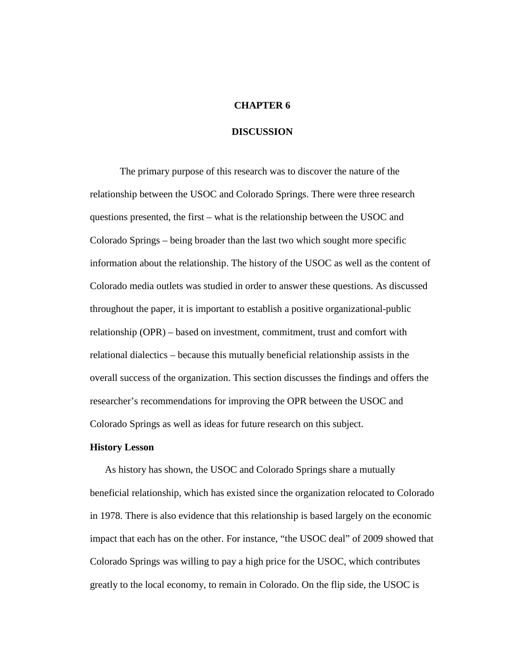#### **CHAPTER 6**

### **DISCUSSION**

The primary purpose of this research was to discover the nature of the relationship between the USOC and Colorado Springs. There were three research questions presented, the first – what is the relationship between the USOC and Colorado Springs – being broader than the last two which sought more specific information about the relationship. The history of the USOC as well as the content of Colorado media outlets was studied in order to answer these questions. As discussed throughout the paper, it is important to establish a positive organizational-public relationship (OPR) – based on investment, commitment, trust and comfort with relational dialectics – because this mutually beneficial relationship assists in the overall success of the organization. This section discusses the findings and offers the researcher's recommendations for improving the OPR between the USOC and Colorado Springs as well as ideas for future research on this subject.

### **History Lesson**

As history has shown, the USOC and Colorado Springs share a mutually beneficial relationship, which has existed since the organization relocated to Colorado in 1978. There is also evidence that this relationship is based largely on the economic impact that each has on the other. For instance, "the USOC deal" of 2009 showed that Colorado Springs was willing to pay a high price for the USOC, which contributes greatly to the local economy, to remain in Colorado. On the flip side, the USOC is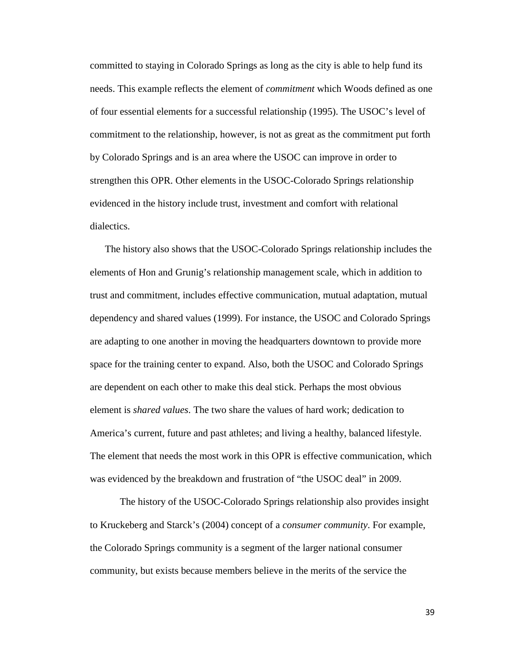committed to staying in Colorado Springs as long as the city is able to help fund its needs. This example reflects the element of *commitment* which Woods defined as one of four essential elements for a successful relationship (1995). The USOC's level of commitment to the relationship, however, is not as great as the commitment put forth by Colorado Springs and is an area where the USOC can improve in order to strengthen this OPR. Other elements in the USOC-Colorado Springs relationship evidenced in the history include trust, investment and comfort with relational dialectics.

The history also shows that the USOC-Colorado Springs relationship includes the elements of Hon and Grunig's relationship management scale, which in addition to trust and commitment, includes effective communication, mutual adaptation, mutual dependency and shared values (1999). For instance, the USOC and Colorado Springs are adapting to one another in moving the headquarters downtown to provide more space for the training center to expand. Also, both the USOC and Colorado Springs are dependent on each other to make this deal stick. Perhaps the most obvious element is *shared values*. The two share the values of hard work; dedication to America's current, future and past athletes; and living a healthy, balanced lifestyle. The element that needs the most work in this OPR is effective communication, which was evidenced by the breakdown and frustration of "the USOC deal" in 2009.

The history of the USOC-Colorado Springs relationship also provides insight to Kruckeberg and Starck's (2004) concept of a *consumer community*. For example, the Colorado Springs community is a segment of the larger national consumer community, but exists because members believe in the merits of the service the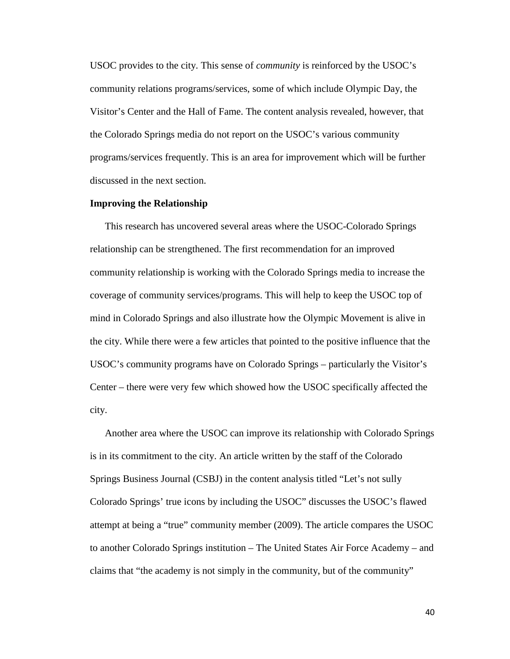USOC provides to the city. This sense of *community* is reinforced by the USOC's community relations programs/services, some of which include Olympic Day, the Visitor's Center and the Hall of Fame. The content analysis revealed, however, that the Colorado Springs media do not report on the USOC's various community programs/services frequently. This is an area for improvement which will be further discussed in the next section.

#### **Improving the Relationship**

This research has uncovered several areas where the USOC-Colorado Springs relationship can be strengthened. The first recommendation for an improved community relationship is working with the Colorado Springs media to increase the coverage of community services/programs. This will help to keep the USOC top of mind in Colorado Springs and also illustrate how the Olympic Movement is alive in the city. While there were a few articles that pointed to the positive influence that the USOC's community programs have on Colorado Springs – particularly the Visitor's Center – there were very few which showed how the USOC specifically affected the city.

Another area where the USOC can improve its relationship with Colorado Springs is in its commitment to the city. An article written by the staff of the Colorado Springs Business Journal (CSBJ) in the content analysis titled "Let's not sully Colorado Springs' true icons by including the USOC" discusses the USOC's flawed attempt at being a "true" community member (2009). The article compares the USOC to another Colorado Springs institution – The United States Air Force Academy – and claims that "the academy is not simply in the community, but of the community"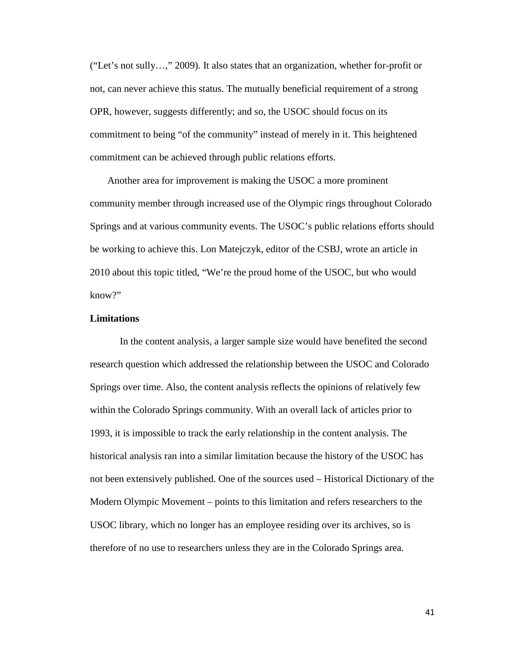("Let's not sully…," 2009). It also states that an organization, whether for-profit or not, can never achieve this status. The mutually beneficial requirement of a strong OPR, however, suggests differently; and so, the USOC should focus on its commitment to being "of the community" instead of merely in it. This heightened commitment can be achieved through public relations efforts.

Another area for improvement is making the USOC a more prominent community member through increased use of the Olympic rings throughout Colorado Springs and at various community events. The USOC's public relations efforts should be working to achieve this. Lon Matejczyk, editor of the CSBJ, wrote an article in 2010 about this topic titled, "We're the proud home of the USOC, but who would know?"

### **Limitations**

In the content analysis, a larger sample size would have benefited the second research question which addressed the relationship between the USOC and Colorado Springs over time. Also, the content analysis reflects the opinions of relatively few within the Colorado Springs community. With an overall lack of articles prior to 1993, it is impossible to track the early relationship in the content analysis. The historical analysis ran into a similar limitation because the history of the USOC has not been extensively published. One of the sources used – Historical Dictionary of the Modern Olympic Movement – points to this limitation and refers researchers to the USOC library, which no longer has an employee residing over its archives, so is therefore of no use to researchers unless they are in the Colorado Springs area.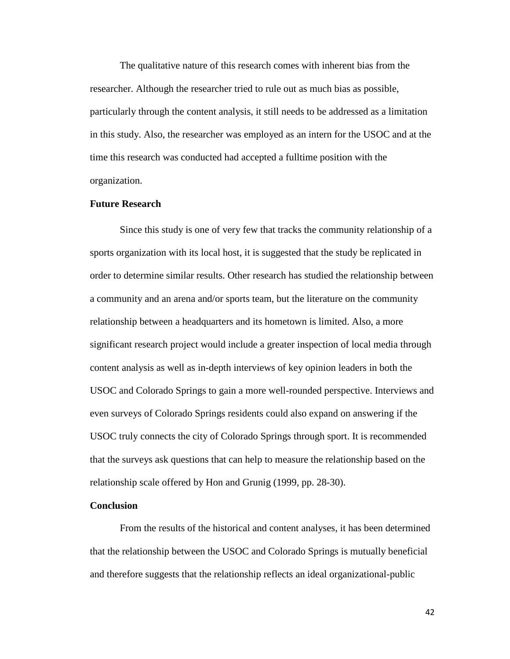The qualitative nature of this research comes with inherent bias from the researcher. Although the researcher tried to rule out as much bias as possible, particularly through the content analysis, it still needs to be addressed as a limitation in this study. Also, the researcher was employed as an intern for the USOC and at the time this research was conducted had accepted a fulltime position with the organization.

### **Future Research**

Since this study is one of very few that tracks the community relationship of a sports organization with its local host, it is suggested that the study be replicated in order to determine similar results. Other research has studied the relationship between a community and an arena and/or sports team, but the literature on the community relationship between a headquarters and its hometown is limited. Also, a more significant research project would include a greater inspection of local media through content analysis as well as in-depth interviews of key opinion leaders in both the USOC and Colorado Springs to gain a more well-rounded perspective. Interviews and even surveys of Colorado Springs residents could also expand on answering if the USOC truly connects the city of Colorado Springs through sport. It is recommended that the surveys ask questions that can help to measure the relationship based on the relationship scale offered by Hon and Grunig (1999, pp. 28-30).

### **Conclusion**

From the results of the historical and content analyses, it has been determined that the relationship between the USOC and Colorado Springs is mutually beneficial and therefore suggests that the relationship reflects an ideal organizational-public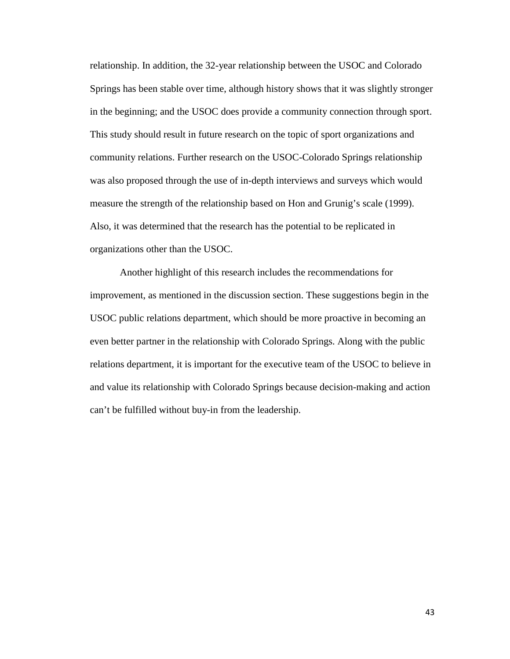relationship. In addition, the 32-year relationship between the USOC and Colorado Springs has been stable over time, although history shows that it was slightly stronger in the beginning; and the USOC does provide a community connection through sport. This study should result in future research on the topic of sport organizations and community relations. Further research on the USOC-Colorado Springs relationship was also proposed through the use of in-depth interviews and surveys which would measure the strength of the relationship based on Hon and Grunig's scale (1999). Also, it was determined that the research has the potential to be replicated in organizations other than the USOC.

Another highlight of this research includes the recommendations for improvement, as mentioned in the discussion section. These suggestions begin in the USOC public relations department, which should be more proactive in becoming an even better partner in the relationship with Colorado Springs. Along with the public relations department, it is important for the executive team of the USOC to believe in and value its relationship with Colorado Springs because decision-making and action can't be fulfilled without buy-in from the leadership.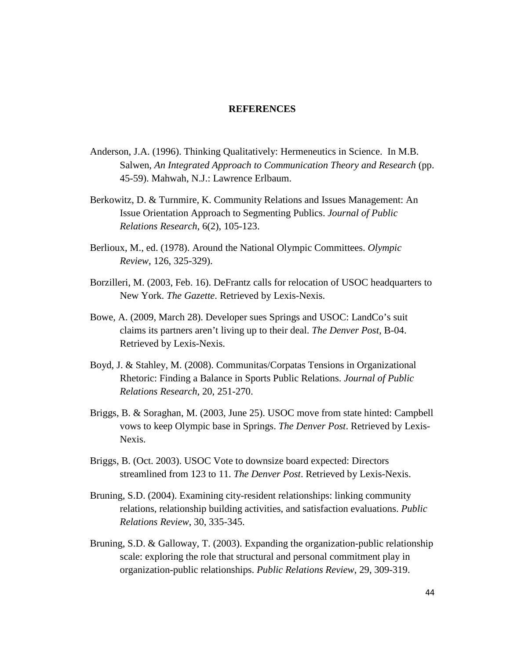### **REFERENCES**

- Anderson, J.A. (1996). Thinking Qualitatively: Hermeneutics in Science. In M.B. Salwen, *An Integrated Approach to Communication Theory and Research* (pp. 45-59). Mahwah, N.J.: Lawrence Erlbaum.
- Berkowitz, D. & Turnmire, K. Community Relations and Issues Management: An Issue Orientation Approach to Segmenting Publics. *Journal of Public Relations Research*, 6(2), 105-123.
- Berlioux, M., ed. (1978). Around the National Olympic Committees. *Olympic Review*, 126, 325-329).
- Borzilleri, M. (2003, Feb. 16). DeFrantz calls for relocation of USOC headquarters to New York. *The Gazette*. Retrieved by Lexis-Nexis.
- Bowe, A. (2009, March 28). Developer sues Springs and USOC: LandCo's suit claims its partners aren't living up to their deal. *The Denver Post*, B-04. Retrieved by Lexis-Nexis.
- Boyd, J. & Stahley, M. (2008). Communitas/Corpatas Tensions in Organizational Rhetoric: Finding a Balance in Sports Public Relations. *Journal of Public Relations Research*, 20, 251-270.
- Briggs, B. & Soraghan, M. (2003, June 25). USOC move from state hinted: Campbell vows to keep Olympic base in Springs. *The Denver Post*. Retrieved by Lexis-Nexis.
- Briggs, B. (Oct. 2003). USOC Vote to downsize board expected: Directors streamlined from 123 to 11. *The Denver Post*. Retrieved by Lexis-Nexis.
- Bruning, S.D. (2004). Examining city-resident relationships: linking community relations, relationship building activities, and satisfaction evaluations. *Public Relations Review*, 30, 335-345.
- Bruning, S.D. & Galloway, T. (2003). Expanding the organization-public relationship scale: exploring the role that structural and personal commitment play in organization-public relationships. *Public Relations Review*, 29, 309-319.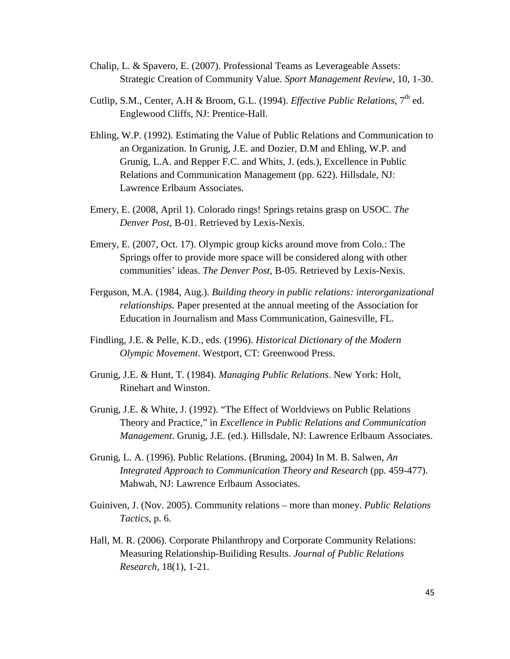- Chalip, L. & Spavero, E. (2007). Professional Teams as Leverageable Assets: Strategic Creation of Community Value. *Sport Management Review*, 10, 1-30.
- Cutlip, S.M., Center, A.H & Broom, G.L. (1994). *Effective Public Relations*, 7<sup>th</sup> ed. Englewood Cliffs, NJ: Prentice-Hall.
- Ehling, W.P. (1992). Estimating the Value of Public Relations and Communication to an Organization. In Grunig, J.E. and Dozier, D.M and Ehling, W.P. and Grunig, L.A. and Repper F.C. and Whits, J. (eds.), Excellence in Public Relations and Communication Management (pp. 622). Hillsdale, NJ: Lawrence Erlbaum Associates.
- Emery, E. (2008, April 1). Colorado rings! Springs retains grasp on USOC. *The Denver Post*, B-01. Retrieved by Lexis-Nexis.
- Emery, E. (2007, Oct. 17). Olympic group kicks around move from Colo.: The Springs offer to provide more space will be considered along with other communities' ideas. *The Denver Post*, B-05. Retrieved by Lexis-Nexis.
- Ferguson, M.A. (1984, Aug.). *Building theory in public relations: interorganizational relationships.* Paper presented at the annual meeting of the Association for Education in Journalism and Mass Communication, Gainesville, FL.
- Findling, J.E. & Pelle, K.D., eds. (1996). *Historical Dictionary of the Modern Olympic Movement*. Westport, CT: Greenwood Press.
- Grunig, J.E. & Hunt, T. (1984). *Managing Public Relations*. New York: Holt, Rinehart and Winston.
- Grunig, J.E. & White, J. (1992). "The Effect of Worldviews on Public Relations Theory and Practice," in *Excellence in Public Relations and Communication Management*. Grunig, J.E. (ed.). Hillsdale, NJ: Lawrence Erlbaum Associates.
- Grunig, L. A. (1996). Public Relations. (Bruning, 2004) In M. B. Salwen, *An Integrated Approach to Communication Theory and Research* (pp. 459-477). Mahwah, NJ: Lawrence Erlbaum Associates.
- Guiniven, J. (Nov. 2005). Community relations more than money. *Public Relations Tactics*, p. 6.
- Hall, M. R. (2006). Corporate Philanthropy and Corporate Community Relations: Measuring Relationship-Builiding Results. *Journal of Public Relations Research*, 18(1), 1-21.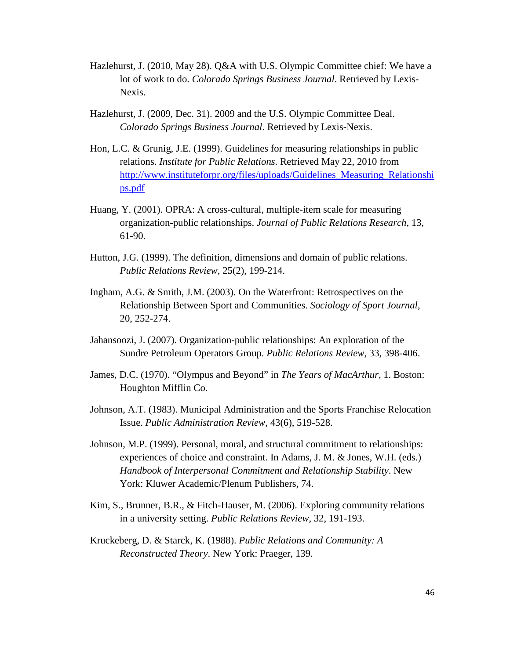- Hazlehurst, J. (2010, May 28). Q&A with U.S. Olympic Committee chief: We have a lot of work to do. *Colorado Springs Business Journal*. Retrieved by Lexis-Nexis.
- Hazlehurst, J. (2009, Dec. 31). 2009 and the U.S. Olympic Committee Deal. *Colorado Springs Business Journal*. Retrieved by Lexis-Nexis.
- Hon, L.C. & Grunig, J.E. (1999). Guidelines for measuring relationships in public relations. *Institute for Public Relations*. Retrieved May 22, 2010 from [http://www.instituteforpr.org/files/uploads/Guidelines\\_Measuring\\_Relationshi](http://www.instituteforpr.org/files/uploads/Guidelines_Measuring_Relationships.pdf) [ps.pdf](http://www.instituteforpr.org/files/uploads/Guidelines_Measuring_Relationships.pdf)
- Huang, Y. (2001). OPRA: A cross-cultural, multiple-item scale for measuring organization-public relationships. *Journal of Public Relations Research*, 13, 61-90.
- Hutton, J.G. (1999). The definition, dimensions and domain of public relations. *Public Relations Review*, 25(2), 199-214.
- Ingham, A.G. & Smith, J.M. (2003). On the Waterfront: Retrospectives on the Relationship Between Sport and Communities. *Sociology of Sport Journal*, 20, 252-274.
- Jahansoozi, J. (2007). Organization-public relationships: An exploration of the Sundre Petroleum Operators Group. *Public Relations Review*, 33, 398-406.
- James, D.C. (1970). "Olympus and Beyond" in *The Years of MacArthur*, 1. Boston: Houghton Mifflin Co.
- Johnson, A.T. (1983). Municipal Administration and the Sports Franchise Relocation Issue. *Public Administration Review*, 43(6), 519-528.
- Johnson, M.P. (1999). Personal, moral, and structural commitment to relationships: experiences of choice and constraint. In Adams, J. M. & Jones, W.H. (eds.) *Handbook of Interpersonal Commitment and Relationship Stability*. New York: Kluwer Academic/Plenum Publishers, 74.
- Kim, S., Brunner, B.R., & Fitch-Hauser, M. (2006). Exploring community relations in a university setting. *Public Relations Review*, 32, 191-193.
- Kruckeberg, D. & Starck, K. (1988). *Public Relations and Community: A Reconstructed Theory*. New York: Praeger, 139.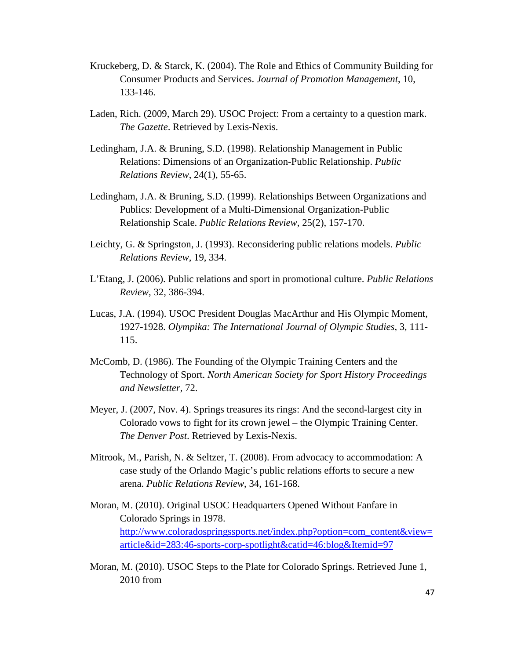- Kruckeberg, D. & Starck, K. (2004). The Role and Ethics of Community Building for Consumer Products and Services. *Journal of Promotion Management*, 10, 133-146.
- Laden, Rich. (2009, March 29). USOC Project: From a certainty to a question mark. *The Gazette*. Retrieved by Lexis-Nexis.
- Ledingham, J.A. & Bruning, S.D. (1998). Relationship Management in Public Relations: Dimensions of an Organization-Public Relationship. *Public Relations Review*, 24(1), 55-65.
- Ledingham, J.A. & Bruning, S.D. (1999). Relationships Between Organizations and Publics: Development of a Multi-Dimensional Organization-Public Relationship Scale. *Public Relations Review*, 25(2), 157-170.
- Leichty, G. & Springston, J. (1993). Reconsidering public relations models. *Public Relations Review*, 19, 334.
- L'Etang, J. (2006). Public relations and sport in promotional culture. *Public Relations Review*, 32, 386-394.
- Lucas, J.A. (1994). USOC President Douglas MacArthur and His Olympic Moment, 1927-1928. *Olympika: The International Journal of Olympic Studies*, 3, 111- 115.
- McComb, D. (1986). The Founding of the Olympic Training Centers and the Technology of Sport. *North American Society for Sport History Proceedings and Newsletter*, 72.
- Meyer, J. (2007, Nov. 4). Springs treasures its rings: And the second-largest city in Colorado vows to fight for its crown jewel – the Olympic Training Center. *The Denver Post*. Retrieved by Lexis-Nexis.
- Mitrook, M., Parish, N. & Seltzer, T. (2008). From advocacy to accommodation: A case study of the Orlando Magic's public relations efforts to secure a new arena. *Public Relations Review*, 34, 161-168.
- Moran, M. (2010). Original USOC Headquarters Opened Without Fanfare in Colorado Springs in 1978. [http://www.coloradospringssports.net/index.php?option=com\\_content&view=](http://www.coloradospringssports.net/index.php?option=com_content&view=article&id=283:46-sports-corp-spotlight&catid=46:blog&Itemid=97) [article&id=283:46-sports-corp-spotlight&catid=46:blog&Itemid=97](http://www.coloradospringssports.net/index.php?option=com_content&view=article&id=283:46-sports-corp-spotlight&catid=46:blog&Itemid=97)
- Moran, M. (2010). USOC Steps to the Plate for Colorado Springs. Retrieved June 1, 2010 from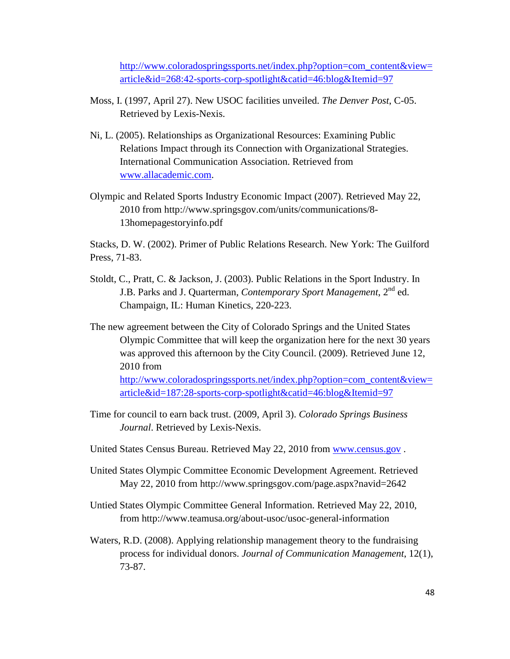[http://www.coloradospringssports.net/index.php?option=com\\_content&view=](http://www.coloradospringssports.net/index.php?option=com_content&view=article&id=268:42-sports-corp-spotlight&catid=46:blog&Itemid=97) [article&id=268:42-sports-corp-spotlight&catid=46:blog&Itemid=97](http://www.coloradospringssports.net/index.php?option=com_content&view=article&id=268:42-sports-corp-spotlight&catid=46:blog&Itemid=97)

- Moss, I. (1997, April 27). New USOC facilities unveiled. *The Denver Post*, C-05. Retrieved by Lexis-Nexis.
- Ni, L. (2005). Relationships as Organizational Resources: Examining Public Relations Impact through its Connection with Organizational Strategies. International Communication Association. Retrieved from [www.allacademic.com.](http://www.allacademic.com/)
- Olympic and Related Sports Industry Economic Impact (2007). Retrieved May 22, 2010 from http://www.springsgov.com/units/communications/8- 13homepagestoryinfo.pdf

Stacks, D. W. (2002). Primer of Public Relations Research. New York: The Guilford Press, 71-83.

- Stoldt, C., Pratt, C. & Jackson, J. (2003). Public Relations in the Sport Industry. In J.B. Parks and J. Quarterman, *Contemporary Sport Management*, 2nd ed. Champaign, IL: Human Kinetics, 220-223.
- The new agreement between the City of Colorado Springs and the United States Olympic Committee that will keep the organization here for the next 30 years was approved this afternoon by the City Council. (2009). Retrieved June 12, 2010 from [http://www.coloradospringssports.net/index.php?option=com\\_content&view=](http://www.coloradospringssports.net/index.php?option=com_content&view=article&id=187:28-sports-corp-spotlight&catid=46:blog&Itemid=97) [article&id=187:28-sports-corp-spotlight&catid=46:blog&Itemid=97](http://www.coloradospringssports.net/index.php?option=com_content&view=article&id=187:28-sports-corp-spotlight&catid=46:blog&Itemid=97)
- Time for council to earn back trust. (2009, April 3). *Colorado Springs Business Journal*. Retrieved by Lexis-Nexis.
- United States Census Bureau. Retrieved May 22, 2010 from [www.census.gov](http://www.census.gov/) .
- United States Olympic Committee Economic Development Agreement. Retrieved May 22, 2010 from http://www.springsgov.com/page.aspx?navid=2642
- Untied States Olympic Committee General Information. Retrieved May 22, 2010, from http://www.teamusa.org/about-usoc/usoc-general-information
- Waters, R.D. (2008). Applying relationship management theory to the fundraising process for individual donors. *Journal of Communication Management*, 12(1), 73-87.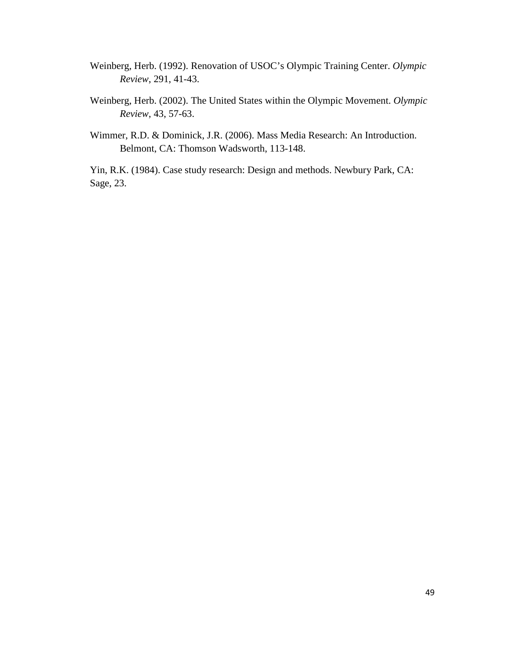- Weinberg, Herb. (1992). Renovation of USOC's Olympic Training Center. *Olympic Review*, 291, 41-43.
- Weinberg, Herb. (2002). The United States within the Olympic Movement. *Olympic Review*, 43, 57-63.
- Wimmer, R.D. & Dominick, J.R. (2006). Mass Media Research: An Introduction. Belmont, CA: Thomson Wadsworth, 113-148.

Yin, R.K. (1984). Case study research: Design and methods. Newbury Park, CA: Sage, 23.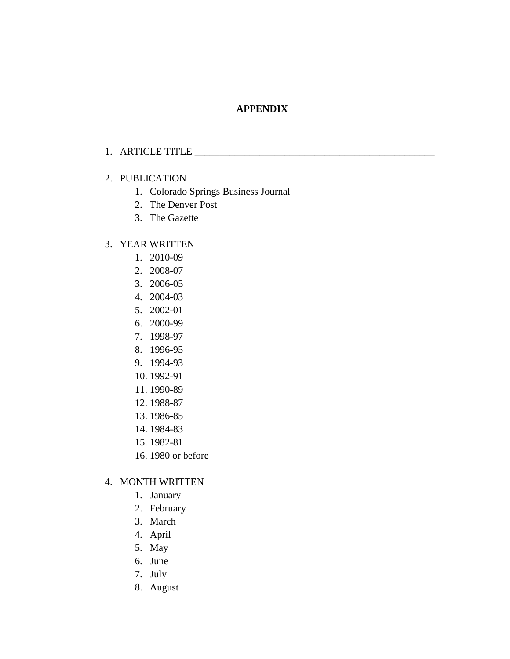## **APPENDIX**

## 1. ARTICLE TITLE

### 2. PUBLICATION

- 1. Colorado Springs Business Journal
- 2. The Denver Post
- 3. The Gazette

## 3. YEAR WRITTEN

- 1. 2010-09
- 2. 2008-07
- 3. 2006-05
- 4. 2004-03
- 5. 2002-01
- 6. 2000-99
- 7. 1998-97
- 8. 1996-95
- 9. 1994-93
- 10. 1992-91
- 11. 1990-89
- 12. 1988-87
- 13. 1986-85
- 14. 1984-83
- 15. 1982-81
- 16. 1980 or before

## 4. MONTH WRITTEN

- 1. January
- 2. February
- 3. March
- 4. April
- 5. May
- 6. June
- 7. July
- 8. August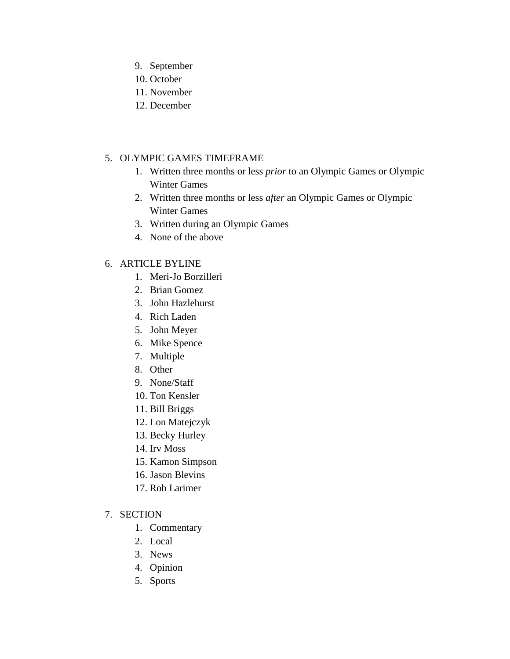- 9. September
- 10. October
- 11. November
- 12. December

## 5. OLYMPIC GAMES TIMEFRAME

- 1. Written three months or less *prior* to an Olympic Games or Olympic Winter Games
- 2. Written three months or less *after* an Olympic Games or Olympic Winter Games
- 3. Written during an Olympic Games
- 4. None of the above

## 6. ARTICLE BYLINE

- 1. Meri-Jo Borzilleri
- 2. Brian Gomez
- 3. John Hazlehurst
- 4. Rich Laden
- 5. John Meyer
- 6. Mike Spence
- 7. Multiple
- 8. Other
- 9. None/Staff
- 10. Ton Kensler
- 11. Bill Briggs
- 12. Lon Matejczyk
- 13. Becky Hurley
- 14. Irv Moss
- 15. Kamon Simpson
- 16. Jason Blevins
- 17. Rob Larimer
- 7. SECTION
	- 1. Commentary
	- 2. Local
	- 3. News
	- 4. Opinion
	- 5. Sports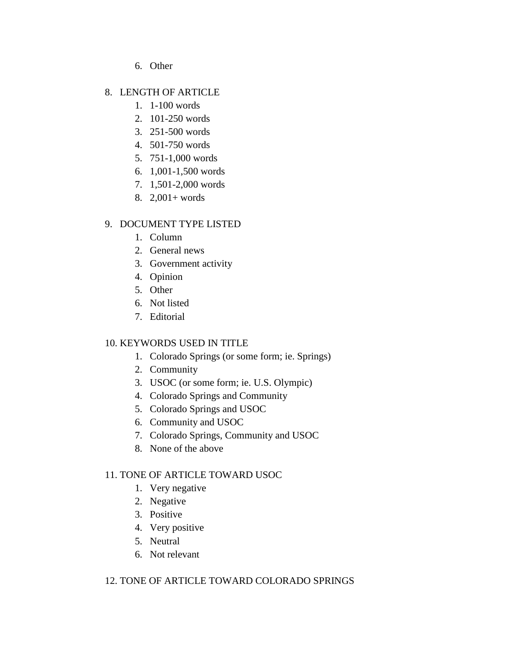6. Other

# 8. LENGTH OF ARTICLE

- 1. 1-100 words
- 2. 101-250 words
- 3. 251-500 words
- 4. 501-750 words
- 5. 751-1,000 words
- 6. 1,001-1,500 words
- 7. 1,501-2,000 words
- 8. 2,001+ words

# 9. DOCUMENT TYPE LISTED

- 1. Column
- 2. General news
- 3. Government activity
- 4. Opinion
- 5. Other
- 6. Not listed
- 7. Editorial

# 10. KEYWORDS USED IN TITLE

- 1. Colorado Springs (or some form; ie. Springs)
- 2. Community
- 3. USOC (or some form; ie. U.S. Olympic)
- 4. Colorado Springs and Community
- 5. Colorado Springs and USOC
- 6. Community and USOC
- 7. Colorado Springs, Community and USOC
- 8. None of the above

# 11. TONE OF ARTICLE TOWARD USOC

- 1. Very negative
- 2. Negative
- 3. Positive
- 4. Very positive
- 5. Neutral
- 6. Not relevant

# 12. TONE OF ARTICLE TOWARD COLORADO SPRINGS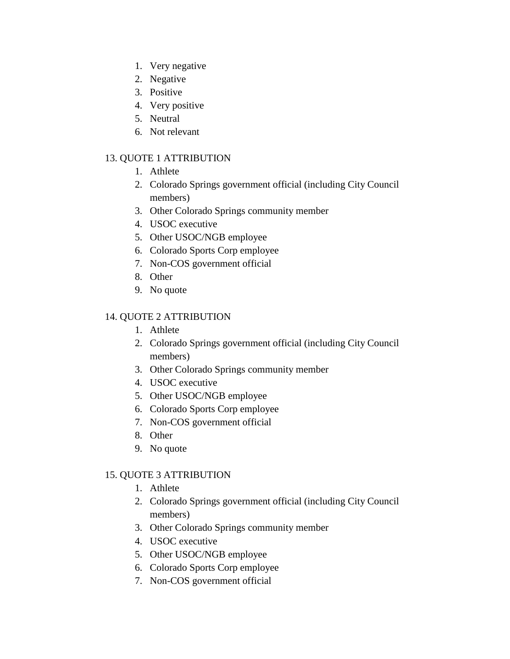- 1. Very negative
- 2. Negative
- 3. Positive
- 4. Very positive
- 5. Neutral
- 6. Not relevant

## 13. QUOTE 1 ATTRIBUTION

- 1. Athlete
- 2. Colorado Springs government official (including City Council members)
- 3. Other Colorado Springs community member
- 4. USOC executive
- 5. Other USOC/NGB employee
- 6. Colorado Sports Corp employee
- 7. Non-COS government official
- 8. Other
- 9. No quote

# 14. QUOTE 2 ATTRIBUTION

- 1. Athlete
- 2. Colorado Springs government official (including City Council members)
- 3. Other Colorado Springs community member
- 4. USOC executive
- 5. Other USOC/NGB employee
- 6. Colorado Sports Corp employee
- 7. Non-COS government official
- 8. Other
- 9. No quote

## 15. QUOTE 3 ATTRIBUTION

- 1. Athlete
- 2. Colorado Springs government official (including City Council members)
- 3. Other Colorado Springs community member
- 4. USOC executive
- 5. Other USOC/NGB employee
- 6. Colorado Sports Corp employee
- 7. Non-COS government official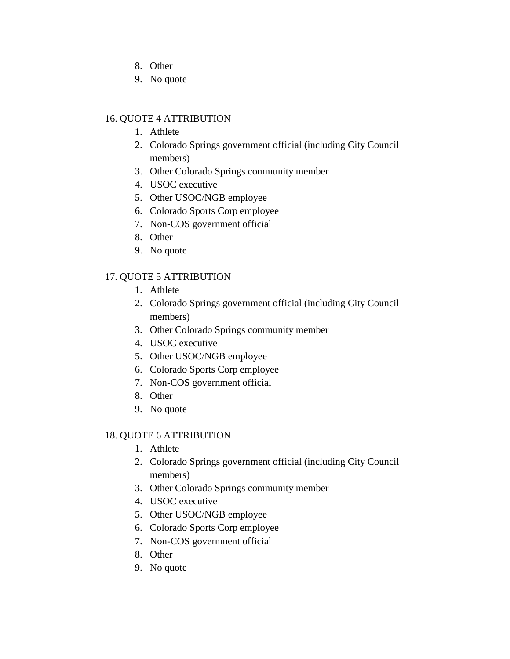- 8. Other
- 9. No quote

## 16. QUOTE 4 ATTRIBUTION

- 1. Athlete
- 2. Colorado Springs government official (including City Council members)
- 3. Other Colorado Springs community member
- 4. USOC executive
- 5. Other USOC/NGB employee
- 6. Colorado Sports Corp employee
- 7. Non-COS government official
- 8. Other
- 9. No quote

## 17. QUOTE 5 ATTRIBUTION

- 1. Athlete
- 2. Colorado Springs government official (including City Council members)
- 3. Other Colorado Springs community member
- 4. USOC executive
- 5. Other USOC/NGB employee
- 6. Colorado Sports Corp employee
- 7. Non-COS government official
- 8. Other
- 9. No quote

## 18. QUOTE 6 ATTRIBUTION

- 1. Athlete
- 2. Colorado Springs government official (including City Council members)
- 3. Other Colorado Springs community member
- 4. USOC executive
- 5. Other USOC/NGB employee
- 6. Colorado Sports Corp employee
- 7. Non-COS government official
- 8. Other
- 9. No quote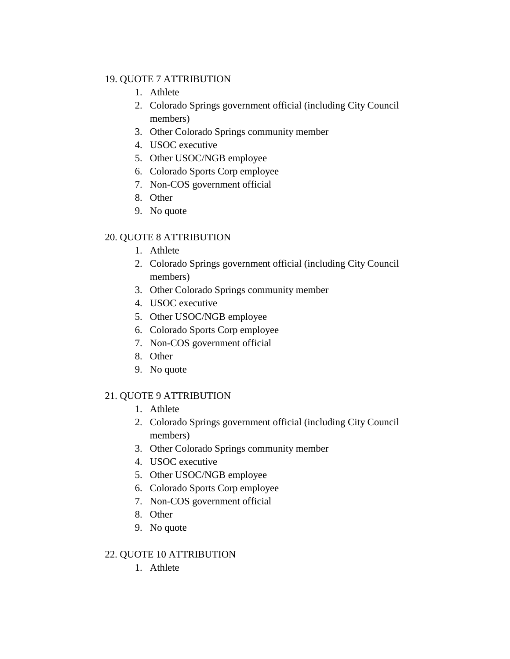## 19. QUOTE 7 ATTRIBUTION

- 1. Athlete
- 2. Colorado Springs government official (including City Council members)
- 3. Other Colorado Springs community member
- 4. USOC executive
- 5. Other USOC/NGB employee
- 6. Colorado Sports Corp employee
- 7. Non-COS government official
- 8. Other
- 9. No quote

# 20. QUOTE 8 ATTRIBUTION

- 1. Athlete
- 2. Colorado Springs government official (including City Council members)
- 3. Other Colorado Springs community member
- 4. USOC executive
- 5. Other USOC/NGB employee
- 6. Colorado Sports Corp employee
- 7. Non-COS government official
- 8. Other
- 9. No quote

# 21. QUOTE 9 ATTRIBUTION

- 1. Athlete
- 2. Colorado Springs government official (including City Council members)
- 3. Other Colorado Springs community member
- 4. USOC executive
- 5. Other USOC/NGB employee
- 6. Colorado Sports Corp employee
- 7. Non-COS government official
- 8. Other
- 9. No quote

# 22. QUOTE 10 ATTRIBUTION

1. Athlete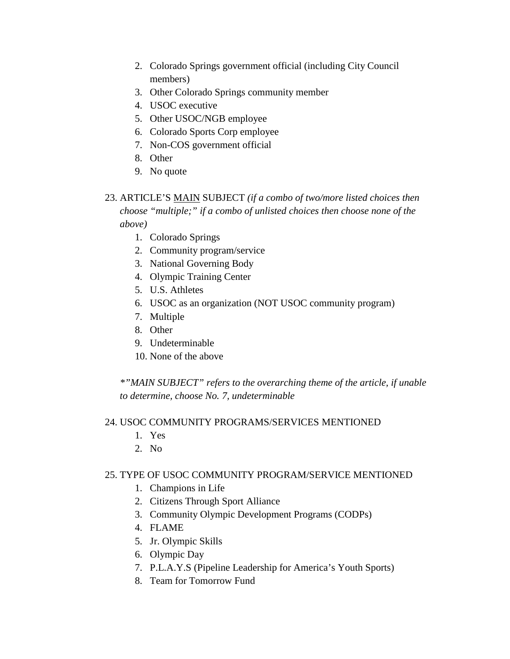- 2. Colorado Springs government official (including City Council members)
- 3. Other Colorado Springs community member
- 4. USOC executive
- 5. Other USOC/NGB employee
- 6. Colorado Sports Corp employee
- 7. Non-COS government official
- 8. Other
- 9. No quote

# 23. ARTICLE'S MAIN SUBJECT *(if a combo of two/more listed choices then choose "multiple;" if a combo of unlisted choices then choose none of the above)*

- 1. Colorado Springs
- 2. Community program/service
- 3. National Governing Body
- 4. Olympic Training Center
- 5. U.S. Athletes
- 6. USOC as an organization (NOT USOC community program)
- 7. Multiple
- 8. Other
- 9. Undeterminable
- 10. None of the above

*\*"MAIN SUBJECT" refers to the overarching theme of the article, if unable to determine, choose No. 7, undeterminable* 

# 24. USOC COMMUNITY PROGRAMS/SERVICES MENTIONED

- 1. Yes
- 2. No

# 25. TYPE OF USOC COMMUNITY PROGRAM/SERVICE MENTIONED

- 1. Champions in Life
- 2. Citizens Through Sport Alliance
- 3. Community Olympic Development Programs (CODPs)
- 4. FLAME
- 5. Jr. Olympic Skills
- 6. Olympic Day
- 7. P.L.A.Y.S (Pipeline Leadership for America's Youth Sports)
- 8. Team for Tomorrow Fund